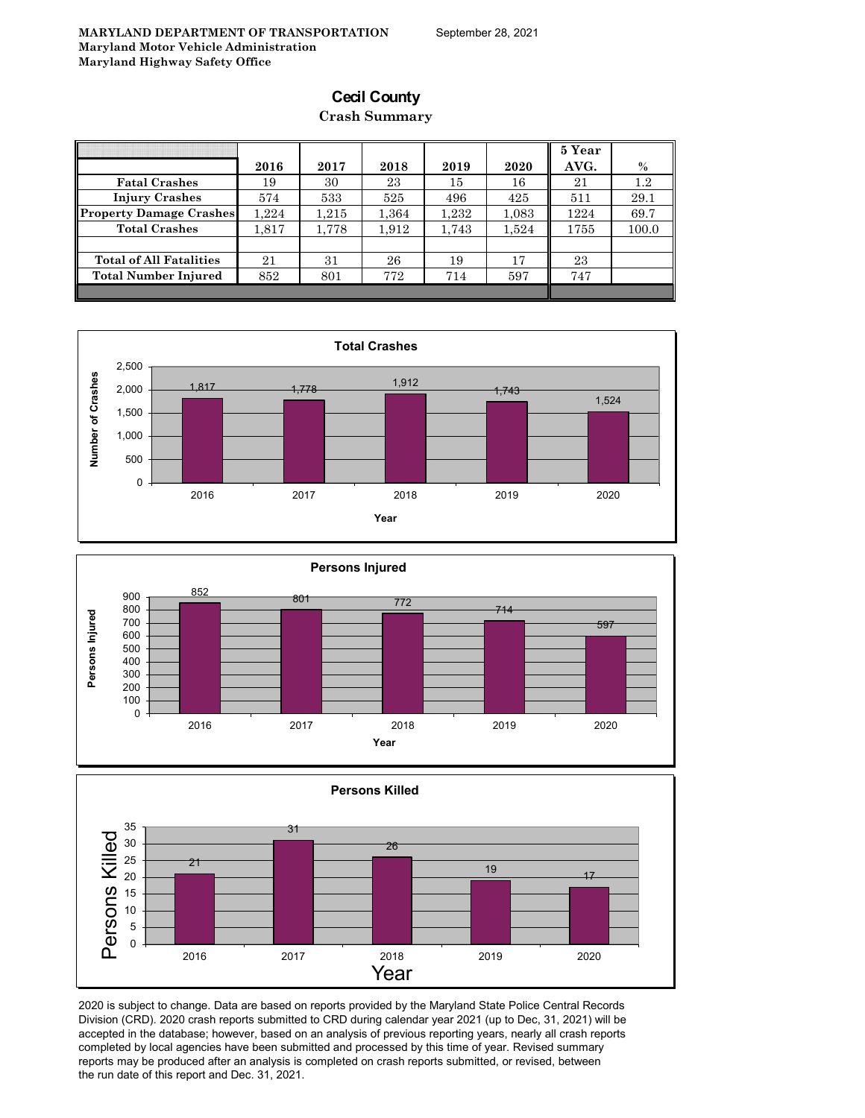## **Cecil County**

#### **Crash Summary**

|                                | 2016  | 2017  | 2018  | 2019  | 2020  | 5 Year<br>AVG. | $\%$    |
|--------------------------------|-------|-------|-------|-------|-------|----------------|---------|
|                                |       |       |       |       |       |                |         |
| <b>Fatal Crashes</b>           | 19    | 30    | 23    | 15    | 16    | 21             | $1.2\,$ |
| <b>Injury Crashes</b>          | 574   | 533   | 525   | 496   | 425   | 511            | 29.1    |
| <b>Property Damage Crashes</b> | 1.224 | 1.215 | 1,364 | 1,232 | 1,083 | 1224           | 69.7    |
| <b>Total Crashes</b>           | 1.817 | 1,778 | 1.912 | 1.743 | 1.524 | 1755           | 100.0   |
|                                |       |       |       |       |       |                |         |
| <b>Total of All Fatalities</b> | 21    | 31    | 26    | 19    | 17    | 23             |         |
| <b>Total Number Injured</b>    | 852   | 801   | 772   | 714   | 597   | 747            |         |
|                                |       |       |       |       |       |                |         |







2020 is subject to change. Data are based on reports provided by the Maryland State Police Central Records Division (CRD). 2020 crash reports submitted to CRD during calendar year 2021 (up to Dec, 31, 2021) will be accepted in the database; however, based on an analysis of previous reporting years, nearly all crash reports completed by local agencies have been submitted and processed by this time of year. Revised summary reports may be produced after an analysis is completed on crash reports submitted, or revised, between the run date of this report and Dec. 31, 2021.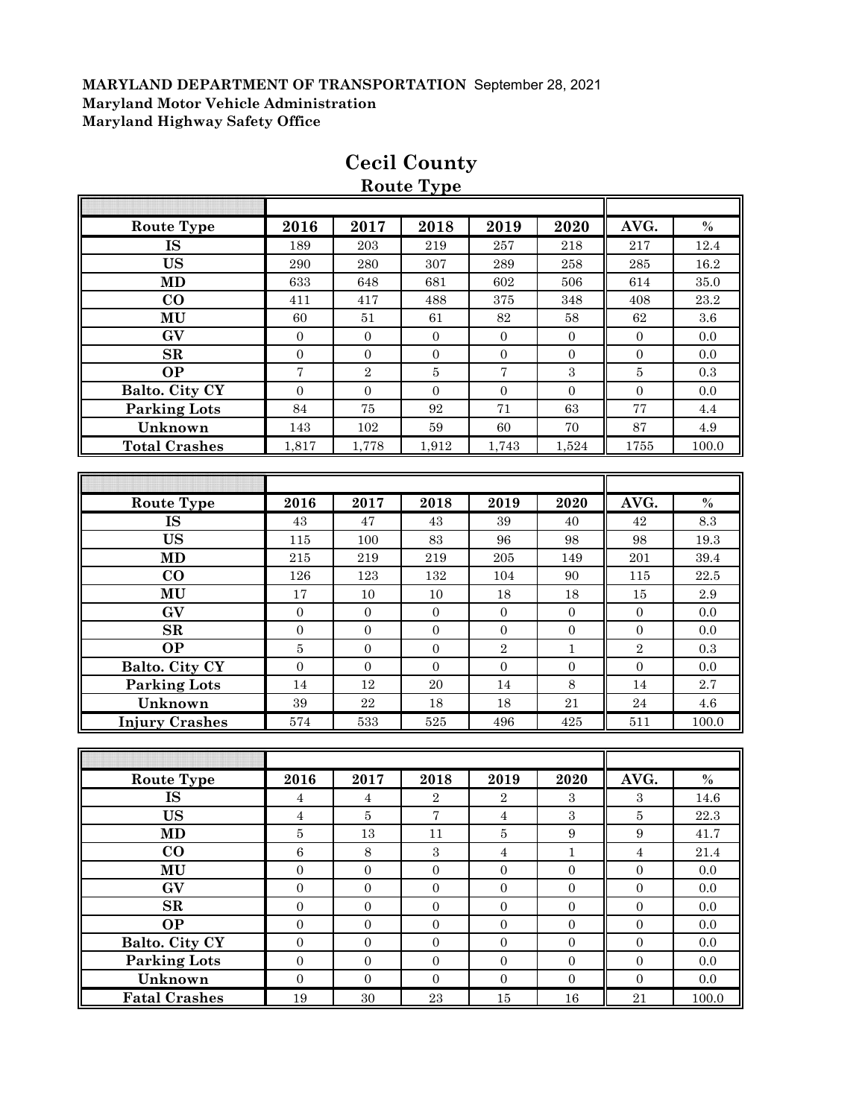|                            |                         |                  | Route Type       |                  |                  |                  |           |
|----------------------------|-------------------------|------------------|------------------|------------------|------------------|------------------|-----------|
|                            |                         |                  |                  |                  |                  |                  |           |
| <b>Route Type</b>          | 2016                    | 2017             | 2018             | 2019             | 2020             | AVG.             | $\%$      |
| <b>IS</b>                  | 189                     | 203              | 219              | 257              | 218              | 217              | 12.4      |
| <b>US</b>                  | $\,290$                 | 280              | 307              | $\,289$          | 258              | $\bf 285$        | 16.2      |
| <b>MD</b>                  | 633                     | 648              | 681              | 602              | 506              | 614              | 35.0      |
| CO                         | 411                     | 417              | 488              | 375              | 348              | 408              | 23.2      |
| MU                         | 60                      | $51\,$           | 61               | $82\,$           | 58               | 62               | $3.6\,$   |
| GV                         | $\boldsymbol{0}$        | $\boldsymbol{0}$ | $\boldsymbol{0}$ | $\mathbf{0}$     | $\boldsymbol{0}$ | $\boldsymbol{0}$ | 0.0       |
| ${\bf SR}$                 | $\boldsymbol{0}$        | $\boldsymbol{0}$ | $\boldsymbol{0}$ | $\boldsymbol{0}$ | $\boldsymbol{0}$ | $\boldsymbol{0}$ | 0.0       |
| <b>OP</b>                  | $\sqrt{ }$              | $\sqrt{2}$       | $\bf 5$          | 7                | $\sqrt{3}$       | $\bf 5$          | 0.3       |
| <b>Balto. City CY</b>      | $\overline{0}$          | $\boldsymbol{0}$ | $\overline{0}$   | $\boldsymbol{0}$ | $\overline{0}$   | $\overline{0}$   | 0.0       |
| <b>Parking Lots</b>        | 84                      | 75               | 92               | 71               | 63               | 77               | $4.4\,$   |
| Unknown                    | 143                     | 102              | $59\,$           | 60               | 70               | 87               | $4.9\,$   |
| <b>Total Crashes</b>       | 1,817                   | 1,778            | 1,912            | 1,743            | 1,524            | 1755             | 100.0     |
|                            |                         |                  |                  |                  |                  |                  |           |
|                            |                         |                  |                  |                  |                  |                  |           |
| <b>Route Type</b>          | 2016                    | 2017             | 2018             | 2019             | 2020             | AVG.             | $\%$      |
| IS                         | 43                      | 47               | 43               | 39               | 40               | $42\,$           | 8.3       |
| <b>US</b>                  | 115                     | 100              | 83               | 96               | 98               | 98               | 19.3      |
| <b>MD</b>                  | 215                     | 219              | 219              | 205              | 149              | $201\,$          | 39.4      |
| $\bf CO$                   | 126                     | 123              | 132              | 104              | 90               | 115              | 22.5      |
| MU                         | $17\,$                  | 10               | $10\,$           | 18               | 18               | $15\,$           | $2.9\,$   |
| GV                         | $\boldsymbol{0}$        | $\boldsymbol{0}$ | $\mathbf{0}$     | $\boldsymbol{0}$ | $\boldsymbol{0}$ | $\boldsymbol{0}$ | 0.0       |
| SR                         | $\boldsymbol{0}$        | $\boldsymbol{0}$ | $\boldsymbol{0}$ | $\boldsymbol{0}$ | $\boldsymbol{0}$ | $\overline{0}$   | 0.0       |
| <b>OP</b>                  | $\bf 5$                 | $\boldsymbol{0}$ | $\boldsymbol{0}$ | $\sqrt{2}$       | $\mathbf{1}$     | $\overline{2}$   | 0.3       |
| Balto. City CY             | $\boldsymbol{0}$        | $\boldsymbol{0}$ | $\boldsymbol{0}$ | $\boldsymbol{0}$ | $\boldsymbol{0}$ | $\boldsymbol{0}$ | 0.0       |
| <b>Parking Lots</b>        | 14                      | 12               | $20\,$           | 14               | 8                | 14               | 2.7       |
| Unknown                    | $39\,$                  | 22               | 18               | 18               | 21               | 24               | 4.6       |
| <b>Injury Crashes</b>      | 574                     | 533              | 525              | 496              | 425              | 511              | 100.0     |
|                            |                         |                  |                  |                  |                  |                  |           |
|                            |                         |                  |                  |                  |                  |                  |           |
| <b>Route Type</b>          | 2016                    | 2017             | 2018             | 2019             | 2020             | AVG.             | $\%$      |
| <b>IS</b>                  | $\overline{\mathbf{4}}$ | $\overline{4}$   | $\,2$            | $\overline{2}$   | $\,3$            | $\,3$            | 14.6      |
| $\boldsymbol{\mathrm{US}}$ | $\overline{\mathbf{4}}$ | $\bf 5$          | $\boldsymbol{7}$ | $\overline{4}$   | $\sqrt{3}$       | $\bf 5$          | $22.3\,$  |
| MD                         | 5                       | 13               | 11               | 5                | $\boldsymbol{9}$ | $\boldsymbol{9}$ | 41.7      |
| $\bf CO$                   | $\,6\,$                 | $8\,$            | $\,3$            | $\bf{4}$         | $\mathbf 1$      | $\sqrt{4}$       | $21.4\,$  |
| MU                         | $\boldsymbol{0}$        | $\boldsymbol{0}$ | $\boldsymbol{0}$ | $\boldsymbol{0}$ | $\boldsymbol{0}$ | $\boldsymbol{0}$ | 0.0       |
| $\mathbf{G}\mathbf{V}$     | $\boldsymbol{0}$        | $\boldsymbol{0}$ | $\boldsymbol{0}$ | $\boldsymbol{0}$ | $\boldsymbol{0}$ | $\boldsymbol{0}$ | $0.0\,$   |
| $\mathbf{SR}$              | $\boldsymbol{0}$        | $\boldsymbol{0}$ | $\boldsymbol{0}$ | $\boldsymbol{0}$ | $\boldsymbol{0}$ | $\boldsymbol{0}$ | $0.0\,$   |
| <b>OP</b>                  | $\boldsymbol{0}$        | $\boldsymbol{0}$ | $\boldsymbol{0}$ | $\boldsymbol{0}$ | $\boldsymbol{0}$ | $\boldsymbol{0}$ | $0.0\,$   |
| Balto. City CY             | $\boldsymbol{0}$        | $\boldsymbol{0}$ | $\boldsymbol{0}$ | $\boldsymbol{0}$ | $\boldsymbol{0}$ | $\boldsymbol{0}$ | 0.0       |
| <b>Parking Lots</b>        | $\boldsymbol{0}$        | $\boldsymbol{0}$ | $\boldsymbol{0}$ | $\boldsymbol{0}$ | $\boldsymbol{0}$ | $\boldsymbol{0}$ | $0.0\,$   |
| Unknown                    | $\boldsymbol{0}$        | $\boldsymbol{0}$ | $\boldsymbol{0}$ | $\boldsymbol{0}$ | $\boldsymbol{0}$ | $\boldsymbol{0}$ | 0.0       |
| <b>Fatal Crashes</b>       | $19\,$                  | $30\,$           | $\bf 23$         | $15\,$           | $16\,$           | $21\,$           | $100.0\,$ |

## **Cecil County**

**Route Type**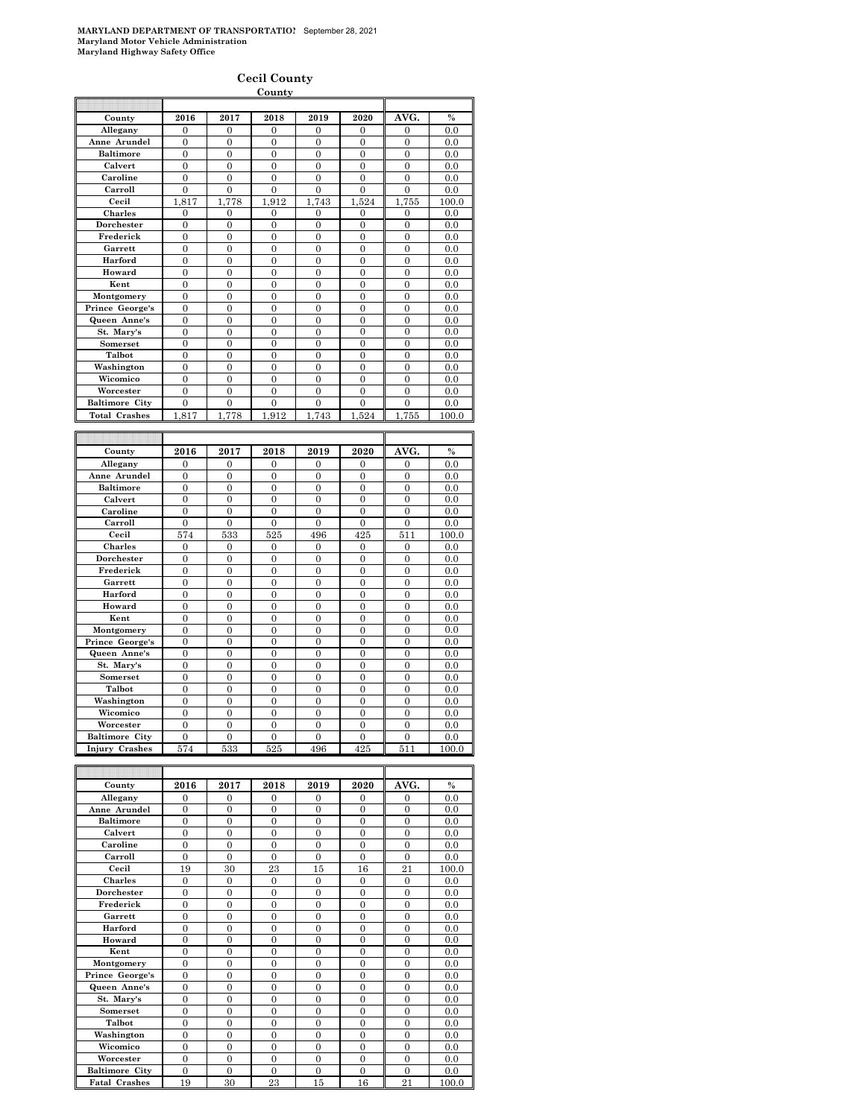#### **Cecil County County**

| County                | 2016             | 2017             | 2018             | 2019           | 2020             | AVG.             | $\%$     |
|-----------------------|------------------|------------------|------------------|----------------|------------------|------------------|----------|
| Allegany              | $\overline{0}$   | 0                | 0                | 0              | 0                | $\mathbf{0}$     | 0.0      |
| Anne Arundel          | 0                | 0                | 0                | $\bf{0}$       | $\bf{0}$         | 0                | 0.0      |
| <b>Baltimore</b>      | $\Omega$         | $\theta$         | $\theta$         | $\overline{0}$ | $\theta$         | $\theta$         | 0.0      |
|                       |                  |                  |                  |                |                  |                  |          |
| Calvert               | $\overline{0}$   | $\overline{0}$   | $\overline{0}$   | $\overline{0}$ | $\overline{0}$   | $\overline{0}$   | 0.0      |
| Caroline              | $\overline{0}$   | 0                | 0                | $\bf{0}$       | $\mathbf{0}$     | $\boldsymbol{0}$ | 0.0      |
| Carroll               | $\overline{0}$   | $\overline{0}$   | $\mathbf{0}$     | $\mathbf{0}$   | $\mathbf{0}$     | $\overline{0}$   | 0.0      |
| Cecil                 | 1,817            | 1.778            | 1,912            | 1,743          | 1,524            | 1,755            | 100.0    |
| <b>Charles</b>        | $\overline{0}$   | $\overline{0}$   | $\overline{0}$   | $\overline{0}$ | $\overline{0}$   | $\overline{0}$   | 0.0      |
| Dorchester            | $\overline{0}$   | $\overline{0}$   | $\overline{0}$   | $\overline{0}$ | $\mathbf{0}$     | $\overline{0}$   | 0.0      |
| Frederick             | $\overline{0}$   | 0                | 0                | $\bf{0}$       | $\mathbf{0}$     | 0                | 0.0      |
|                       |                  |                  |                  |                |                  |                  |          |
| Garrett               | $\overline{0}$   | $\overline{0}$   | $\mathbf{0}$     | $\mathbf{0}$   | 0                | $\overline{0}$   | 0.0      |
| Harford               | 0                | 0                | $\bf{0}$         | $\bf{0}$       | 0                | 0                | 0.0      |
| Howard                | $\theta$         | $\overline{0}$   | $\theta$         | $\overline{0}$ | $\theta$         | $\overline{0}$   | 0.0      |
| Kent                  | $\overline{0}$   | $\overline{0}$   | $\overline{0}$   | $\overline{0}$ | $\overline{0}$   | $\overline{0}$   | 0.0      |
| Montgomery            | $\overline{0}$   | 0                | $\bf{0}$         | $\bf{0}$       | $\mathbf{0}$     | 0                | $_{0.0}$ |
| Prince George's       | $\overline{0}$   | $\overline{0}$   | $\mathbf{0}$     | $\mathbf{0}$   | 0                | $\mathbf{0}$     | 0.0      |
|                       |                  |                  |                  |                |                  |                  |          |
| Queen Anne's          | 0                | 0                | 0                | $\bf{0}$       | $\bf{0}$         | 0                | 0.0      |
| St. Mary's            | $\overline{0}$   | $\overline{0}$   | $\overline{0}$   | $\overline{0}$ | $\theta$         | $\overline{0}$   | 0.0      |
| Somerset              | $\overline{0}$   | $\overline{0}$   | $\overline{0}$   | $\overline{0}$ | $\overline{0}$   | $\overline{0}$   | 0.0      |
| Talbot                | $\overline{0}$   | 0                | $\bf{0}$         | $\bf{0}$       | 0                | 0                | $_{0.0}$ |
| Washington            | $\overline{0}$   | $\overline{0}$   | $\mathbf{0}$     | $\mathbf{0}$   | 0                | $\mathbf{0}$     | 0.0      |
| Wicomico              | 0                | 0                | 0                | $\mathbf{0}$   | 0                | 0                | 0.0      |
| Worcester             |                  |                  |                  |                |                  |                  |          |
|                       | $\Omega$         | $\Omega$         | $\theta$         | $\overline{0}$ | $\theta$         | $\theta$         | 0.0      |
| <b>Baltimore City</b> | $\overline{0}$   | $\overline{0}$   | $\overline{0}$   | $\overline{0}$ | $\overline{0}$   | $\overline{0}$   | 0.0      |
| <b>Total Crashes</b>  | 1,817            | 1,778            | 1.912            | 1.743          | 1,524            | 1,755            | 100.0    |
|                       |                  |                  |                  |                |                  |                  |          |
|                       |                  |                  |                  |                |                  |                  |          |
| County                | 2016             | 2017             | 2018             | 2019           | 2020             | AVG.             | $\%$     |
|                       |                  |                  |                  |                |                  |                  |          |
| Allegany              | 0                | 0                | 0                | 0              | 0                | 0                | 0.0      |
| Anne Arundel          | $\Omega$         | $\overline{0}$   | $\overline{0}$   | $\overline{0}$ | $\overline{0}$   | $\overline{0}$   | 0.0      |
| <b>Baltimore</b>      | $\overline{0}$   | $\overline{0}$   | $\overline{0}$   | $\overline{0}$ | $\overline{0}$   | $\mathbf{0}$     | 0.0      |
| Calvert               | $\overline{0}$   | 0                | 0                | $\bf{0}$       | $\mathbf{0}$     | 0                | 0.0      |
| Caroline              | $\overline{0}$   | $\overline{0}$   | $\overline{0}$   | $\overline{0}$ | 0                | $\overline{0}$   | 0.0      |
| Carroll               |                  |                  |                  |                |                  |                  |          |
|                       | $\boldsymbol{0}$ | 0                | 0                | $\bf{0}$       | $\bf{0}$         | $\boldsymbol{0}$ | 0.0      |
| Cecil                 | 574              | 533              | 525              | 496            | 425              | $51\overline{1}$ | 100.0    |
| Charles               | $\theta$         | $\boldsymbol{0}$ | $\bf{0}$         | $\mathbf{0}$   | $\mathbf{0}$     | $\mathbf{0}$     | 0.0      |
| Dorchester            | 0                | 0                | $\bf{0}$         | $\bf{0}$       | $\mathbf{0}$     | 0                | $_{0.0}$ |
| Frederick             | $\overline{0}$   | $\overline{0}$   | $\mathbf{0}$     | $\mathbf{0}$   | 0                | $\mathbf{0}$     | 0.0      |
| Garrett               | 0                | 0                | 0                | $\bf{0}$       | $\bf{0}$         | 0                | 0.0      |
|                       |                  |                  |                  |                |                  |                  |          |
|                       |                  |                  |                  |                |                  |                  |          |
| Harford               | $\theta$         | $\overline{0}$   | $\overline{0}$   | $\overline{0}$ | $\theta$         | $\overline{0}$   | 0.0      |
| Howard                | $\overline{0}$   | $\overline{0}$   | $\overline{0}$   | $\overline{0}$ | $\overline{0}$   | $\overline{0}$   | 0.0      |
| Kent                  | 0                | 0                | $\bf{0}$         | $\bf{0}$       | $\mathbf{0}$     | 0                | $_{0.0}$ |
| Montgomery            | $\overline{0}$   | $\overline{0}$   | $\mathbf{0}$     | $\mathbf{0}$   | 0                | $\overline{0}$   | 0.0      |
|                       |                  |                  |                  |                |                  |                  |          |
| Prince George's       | 0                | 0                | 0                | $\bf{0}$       | $\bf{0}$         | 0                | 0.0      |
| Queen Anne's          | $\overline{0}$   | $\overline{0}$   | $\overline{0}$   | $\overline{0}$ | $\theta$         | $\overline{0}$   | 0.0      |
| St. Mary's            | $\overline{0}$   | $\overline{0}$   | $\overline{0}$   | $\overline{0}$ | $\overline{0}$   | $\overline{0}$   | 0.0      |
| Somerset              | $\overline{0}$   | 0                | $\bf{0}$         | $\bf{0}$       | 0                | 0                | $_{0.0}$ |
| Talbot                | $\overline{0}$   | $\overline{0}$   | $\mathbf{0}$     | $\mathbf{0}$   | 0                | $\mathbf{0}$     | 0.0      |
| Washington            | 0                | 0                | 0                | $\bf{0}$       | 0                | 0                | 0.0      |
| Wicomico              | $\overline{0}$   | $\overline{0}$   | $\overline{0}$   | $\overline{0}$ | $\overline{0}$   | $\overline{0}$   | 0.0      |
|                       |                  |                  |                  |                |                  |                  |          |
| Worcester             | $\overline{0}$   | $\overline{0}$   | $\overline{0}$   | $\overline{0}$ | $\overline{0}$   | $\overline{0}$   | 0.0      |
| <b>Baltimore City</b> | $\boldsymbol{0}$ | 0                | 0                | 0              | 0                | 0                | $_{0.0}$ |
| Injury Crashes        | 574              | 533              | 525              | 496            | 425              | 511              | 100.0    |
|                       |                  |                  |                  |                |                  |                  |          |
|                       |                  |                  |                  |                |                  |                  |          |
| County                | 2016             | 2017             | 2018             | 2019           | 2020             | AVG.             | $\%$     |
| Allegany              | $\mathbf{0}$     | 0                | $\overline{0}$   | $\mathbf{0}$   | $\mathbf{0}$     | 0                | 0.0      |
|                       |                  |                  |                  |                |                  |                  |          |
| Anne Arundel          | $\boldsymbol{0}$ | $\boldsymbol{0}$ | 0                | 0              | $\boldsymbol{0}$ | $\boldsymbol{0}$ | 0.0      |
| Baltimore             | $\boldsymbol{0}$ | 0                | $\boldsymbol{0}$ | 0              | 0                | $\boldsymbol{0}$ | 0.0      |
| Calvert               | $\overline{0}$   | $\overline{0}$   | 0                | 0              | $\mathbf{0}$     | $\mathbf{0}$     | 0.0      |
| Caroline              | 0                | 0                | 0                | 0              | 0                | 0                | 0.0      |
| Carroll               | $\overline{0}$   | $\overline{0}$   | $\overline{0}$   | $\overline{0}$ | $\theta$         | $\overline{0}$   | 0.0      |
| Cecil                 | 19               | 30               | 23               | 15             | 16               | 21               | 100.0    |
|                       | $\boldsymbol{0}$ |                  |                  | 0              | 0                |                  |          |
| Charles               |                  | 0                | 0                |                |                  | $\boldsymbol{0}$ | $_{0.0}$ |
| Dorchester            | 0                | 0                | 0                | $\bf{0}$       | $\mathbf{0}$     | $\mathbf{0}$     | 0.0      |
| Frederick             | 0                | 0                | 0                | 0              | 0                | 0                | 0.0      |
| Garrett               | $\overline{0}$   | $\overline{0}$   | $\overline{0}$   | $\overline{0}$ | $\overline{0}$   | $\overline{0}$   | 0.0      |
| Harford               | $\boldsymbol{0}$ | $\boldsymbol{0}$ | $\boldsymbol{0}$ | $\mathbf{0}$   | $\overline{0}$   | $\boldsymbol{0}$ | 0.0      |
| Howard                | 0                | 0                | $\boldsymbol{0}$ | $\bf{0}$       | $\bf{0}$         | 0                | 0.0      |
|                       |                  |                  |                  |                | $\mathbf{0}$     | $\overline{0}$   |          |
| Kent                  | $\boldsymbol{0}$ | $\boldsymbol{0}$ | 0                | $\bf{0}$       |                  |                  | 0.0      |
| Montgomery            | 0                | 0                | 0                | 0              | $\bf{0}$         | 0                | 0.0      |
| Prince George's       | $\overline{0}$   | $\overline{0}$   | $\overline{0}$   | $\overline{0}$ | $\overline{0}$   | $\overline{0}$   | 0.0      |
| Queen Anne's          | $\boldsymbol{0}$ | $\boldsymbol{0}$ | $\boldsymbol{0}$ | $\mathbf{0}$   | $\overline{0}$   | $\mathbf{0}$     | 0.0      |
| St. Mary's            | $\boldsymbol{0}$ | 0                | $\boldsymbol{0}$ | 0              | 0                | $\boldsymbol{0}$ | 0.0      |
| Somerset              | 0                | 0                | 0                | 0              | 0                | 0                | 0.0      |

**Washington** 0 0 0 0 0 0 0.0 **Wicomico** 0 0 0 0 0 0 0.0 **Worcester** 0 0 0 0 0 0 0.0

**Fatal Crashes** 19 30 23 15 16 21 100.0

**Baltimore City**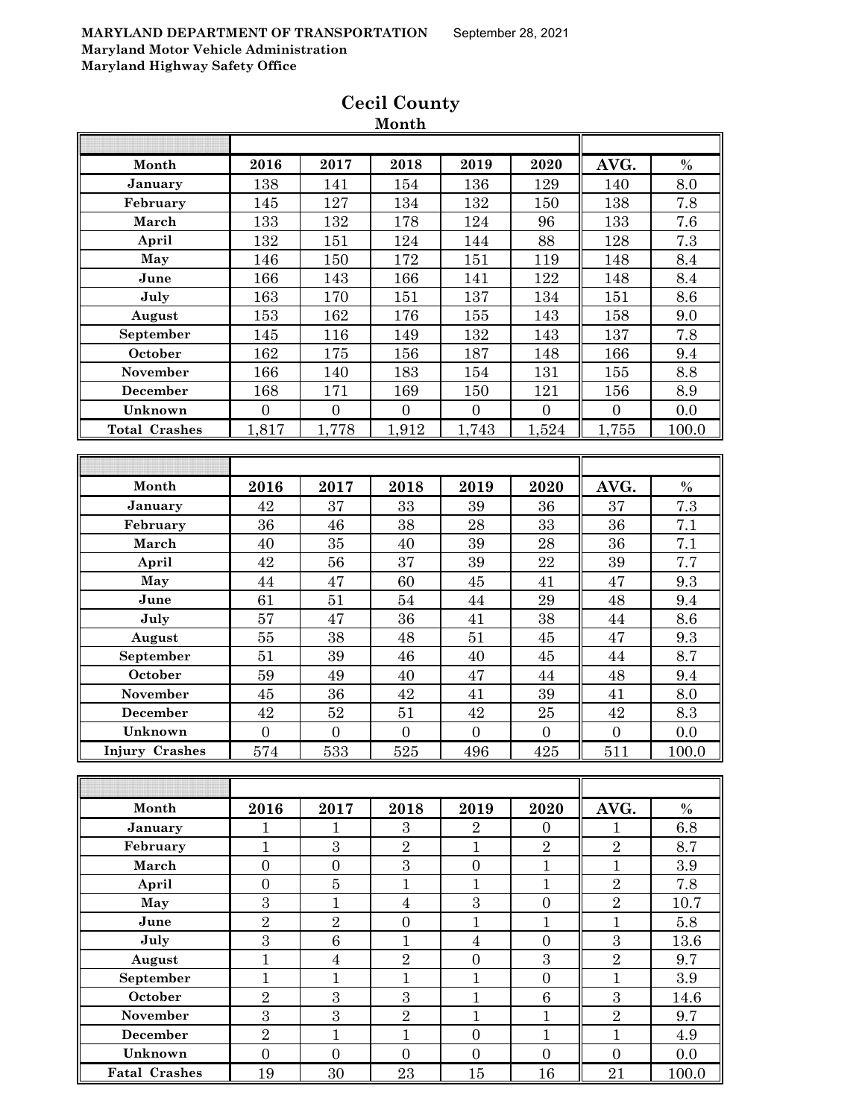| Month                 | 2016                | 2017                | 2018                | 2019                         | 2020                  | AVG.                         | $\%$  |
|-----------------------|---------------------|---------------------|---------------------|------------------------------|-----------------------|------------------------------|-------|
| January               | 138                 | 141                 | 154                 | 136                          | 129                   | 140                          | 8.0   |
| February              | 145                 | 127                 | 134                 | 132                          | 150                   | 138                          | 7.8   |
| March                 | 133                 | 132                 | 178                 | 124                          | 96                    | 133                          | 7.6   |
| April                 | 132                 | 151                 | 124                 | 144                          | 88                    | 128                          | 7.3   |
| May                   | 146                 | 150                 | 172                 | 151                          | 119                   | 148                          | 8.4   |
| June                  | 166                 | 143                 | 166                 | 141                          | 122                   | 148                          | 8.4   |
| July                  | 163                 | 170                 | 151                 | 137                          | 134                   | 151                          | 8.6   |
| August                | 153                 | 162                 | 176                 | 155                          | 143                   | 158                          | 9.0   |
| September             | 145                 | 116                 | 149                 | 132                          | 143                   | 137                          | 7.8   |
| October               | 162                 | 175                 | 156                 | 187                          | 148                   | 166                          | 9.4   |
| November              | 166                 | 140                 | 183                 | 154                          | 131                   | 155                          | 8.8   |
| December              | 168                 | 171                 | 169                 | 150                          | 121                   | 156                          | 8.9   |
| Unknown               | $\overline{0}$      | $\overline{0}$      | $\overline{0}$      | $\overline{0}$               | $\mathbf{0}$          | $\overline{0}$               | 0.0   |
| <b>Total Crashes</b>  | 1,817               | 1,778               | 1,912               | 1,743                        | 1,524                 | 1,755                        | 100.0 |
|                       |                     |                     |                     |                              |                       |                              |       |
|                       |                     |                     |                     |                              |                       |                              |       |
| Month                 | 2016                | 2017                | 2018                | 2019                         | 2020                  | AVG.                         | $\%$  |
| January               | 42                  | 37                  | 33                  | 39                           | 36                    | 37                           | 7.3   |
| February              | 36                  | 46                  | 38                  | 28                           | 33                    | 36                           | 7.1   |
| March                 | 40                  | 35                  | 40                  | 39                           | 28                    | 36                           | 7.1   |
| April                 | 42                  | 56                  | 37                  | 39                           | 22                    | 39                           | 7.7   |
| May                   | 44                  | 47                  | 60                  | 45                           | 41                    | 47                           | 9.3   |
| June                  | 61                  | 51                  | 54                  | 44                           | 29                    | 48                           | 9.4   |
| July                  | 57                  | 47                  | 36                  | 41                           | 38                    | 44                           | 8.6   |
| August                | $55\,$              | 38                  | 48                  | 51                           | 45                    | 47                           | 9.3   |
| September             | 51                  | 39                  | 46                  | 40                           | 45                    | 44                           | 8.7   |
| October               | 59                  | 49                  | 40                  | 47                           | 44                    | 48                           | 9.4   |
| November              | 45                  | 36                  | 42                  | 41                           | 39                    | 41                           | 8.0   |
| December              | 42                  | 52                  | 51                  | $42\,$                       | $25\,$                | $42\,$                       | 8.3   |
| Unknown               | $\overline{0}$      | $\boldsymbol{0}$    | $\overline{0}$      | $\boldsymbol{0}$             | $\boldsymbol{0}$      | $\overline{0}$               | 0.0   |
| <b>Injury Crashes</b> | 574                 | 533                 | 525                 | 496                          | 425                   | 511                          | 100.0 |
|                       |                     |                     |                     |                              |                       |                              |       |
|                       |                     |                     |                     |                              |                       |                              |       |
| Month                 | 2016                | 2017                | 2018                | 2019                         | 2020                  | AVG.                         | $\%$  |
| January               | $\mathbf{1}$        | 1                   | 3                   | $\sqrt{2}$                   | $\overline{0}$        | $\mathbf{1}$                 | 6.8   |
| February              | $\mathbf{1}$        | $\overline{3}$      | $\overline{2}$      | $\mathbf{1}$                 | $\overline{2}$        | $\overline{2}$               | 8.7   |
| March                 | $\boldsymbol{0}$    | $\boldsymbol{0}$    | $\boldsymbol{3}$    | $\boldsymbol{0}$             | $\mathbf{1}$          | $\mathbf{1}$                 | 3.9   |
| April                 | $\boldsymbol{0}$    | $\bf 5$             | $\mathbf{1}$        | $\mathbf{1}$                 | $\mathbf{1}$          | $\sqrt{2}$                   | 7.8   |
| May                   | 3                   | $\mathbf{1}$        | $\overline{4}$      | $\mathbf{3}$                 | $\boldsymbol{0}$      | $\overline{2}$               | 10.7  |
| June                  | $\overline{2}$      | $\overline{2}$      | $\boldsymbol{0}$    | $\mathbf{1}$                 | $\mathbf{1}$          | $\mathbf{1}$                 | 5.8   |
| July                  | $\overline{3}$      | 6                   | $\mathbf{1}$        | $\overline{4}$               | $\overline{0}$        | 3                            | 13.6  |
| August                | $\overline{1}$      | $\overline{4}$      | $\overline{2}$      | $\boldsymbol{0}$             | 3                     | $\overline{2}$               | 9.7   |
| September             | $\mathbf{1}$        | $\mathbf{1}$        | $\mathbf{1}$        | $\mathbf{1}$                 | $\boldsymbol{0}$      | $\mathbf{1}$                 | 3.9   |
| October               |                     |                     |                     |                              |                       |                              |       |
| November              | $\overline{2}$<br>3 | 3<br>$\overline{3}$ | 3<br>$\overline{2}$ | $\mathbf{1}$<br>$\mathbf{1}$ | $\,6$<br>$\mathbf{1}$ | $\sqrt{3}$<br>$\overline{2}$ | 14.6  |
|                       |                     |                     |                     |                              |                       |                              | 9.7   |
| <b>December</b>       | $\overline{2}$      | $\mathbf{1}$        | $\mathbf{1}$        | $\boldsymbol{0}$             | $\mathbf{1}$          | $\mathbf{1}$                 | 4.9   |
| Unknown               | $\overline{0}$      | $\overline{0}$      | $\boldsymbol{0}$    | $\boldsymbol{0}$             | $\overline{0}$        | $\overline{0}$               | 0.0   |
| <b>Fatal Crashes</b>  | 19                  | 30                  | 23                  | 15                           | 16                    | 21                           | 100.0 |

## **Cecil County Month**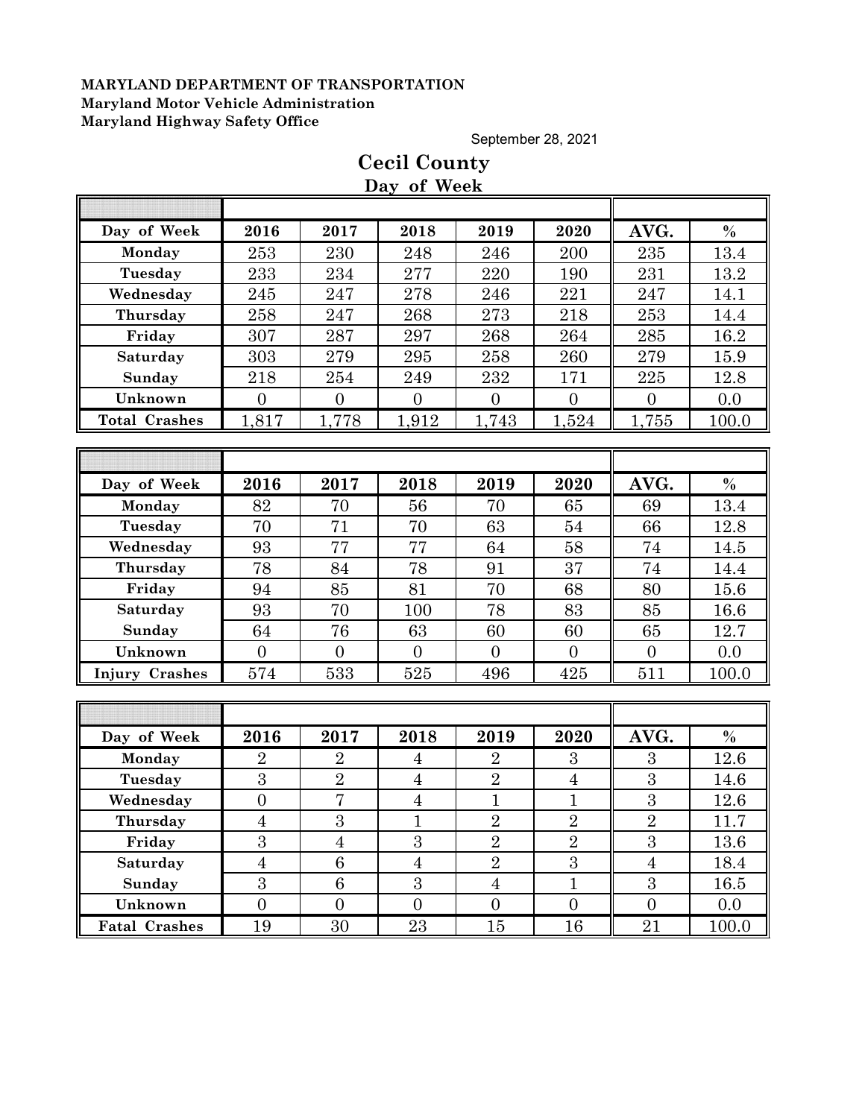September 28, 2021

|                       |                |                 | Day of Week    |                |                |                  |               |
|-----------------------|----------------|-----------------|----------------|----------------|----------------|------------------|---------------|
|                       |                |                 |                |                |                |                  |               |
| Day of Week           | 2016           | 2017            | 2018           | 2019           | 2020           | AVG.             | $\%$          |
| Monday                | 253            | 230             | 248            | 246            | 200            | 235              | 13.4          |
| Tuesday               | 233            | 234             | 277            | 220            | 190            | 231              | 13.2          |
| Wednesday             | 245            | 247             | 278            | 246            | 221            | 247              | 14.1          |
| Thursday              | 258            | 247             | 268            | 273            | 218            | 253              | 14.4          |
| Friday                | 307            | 287             | 297            | 268            | 264            | 285              | 16.2          |
| Saturday              | 303            | 279             | 295            | 258            | 260            | 279              | 15.9          |
| Sunday                | 218            | 254             | 249            | 232            | 171            | 225              | 12.8          |
| Unknown               | $\overline{0}$ | $\overline{0}$  | $\overline{0}$ | $\overline{0}$ | $\overline{0}$ | $\overline{0}$   | 0.0           |
| <b>Total Crashes</b>  | 1,817          | 1,778           | 1,912          | 1,743          | 1,524          | 1,755            | 100.0         |
|                       |                |                 |                |                |                |                  |               |
|                       |                |                 |                |                |                |                  |               |
| Day of Week           | 2016           | 2017            | 2018           | 2019           | 2020           | AVG.             | $\%$          |
| Monday                | 82             | 70              | 56             | 70             | 65             | 69               | 13.4          |
| Tuesday               | 70             | 71              | 70             | 63             | 54             | 66               | 12.8          |
| Wednesday             | 93             | 77              | 77             | 64             | 58             | 74               | 14.5          |
| Thursday              | 78             | 84              | 78             | 91             | 37             | 74               | 14.4          |
| Friday                | 94             | 85              | 81             | 70             | 68             | 80               | 15.6          |
| Saturday              | 93             | 70              | 100            | 78             | 83             | 85               | 16.6          |
| Sunday                | 64             | 76              | 63             | 60             | 60             | 65               | 12.7          |
| Unknown               | $\overline{0}$ | $\overline{0}$  | $\overline{0}$ | $\overline{0}$ | $\overline{0}$ | $\overline{0}$   | 0.0           |
| <b>Injury Crashes</b> | 574            | 533             | 525            | 496            | 425            | 511              | 100.0         |
|                       |                |                 |                |                |                |                  |               |
|                       |                |                 |                |                |                |                  |               |
| Day of Week           | 2016           | 2017            | 2018           | 2019           | 2020           | AVG.             | $\frac{0}{0}$ |
| Monday                | $\overline{2}$ | $\overline{2}$  | $\overline{4}$ | $\overline{2}$ | 3              | 3                | 12.6          |
| Tuesday               | 3              | $\overline{2}$  | $\overline{4}$ | $\overline{2}$ | $\overline{4}$ | $\boldsymbol{3}$ | 14.6          |
| Wednesday             | $\overline{0}$ | $\overline{7}$  | $\overline{4}$ | $\mathbf{1}$   | $\mathbf{1}$   | $\overline{3}$   | 12.6          |
| Thursday              | $\overline{4}$ | $\overline{3}$  | 1              | $\overline{2}$ | $\overline{2}$ | $\overline{2}$   | 11.7          |
| Friday                | 3              | $\overline{4}$  | 3              | $\overline{2}$ | $\overline{2}$ | 3                | 13.6          |
| Saturday              | $\overline{4}$ | $6\phantom{.}6$ | $\overline{4}$ | $\overline{2}$ | $\overline{3}$ | $\overline{4}$   | 18.4          |
| Sunday                | 3              | 6               | 3              | $\overline{4}$ | $\mathbf{1}$   | $\overline{3}$   | 16.5          |
| Unknown               | $\overline{0}$ | $\overline{0}$  | $\overline{0}$ | $\overline{0}$ | $\overline{0}$ | $\overline{0}$   | 0.0           |
| <b>Fatal Crashes</b>  | 19             | 30              | 23             | $15\,$         | 16             | $\overline{21}$  | 100.0         |

# **Cecil County**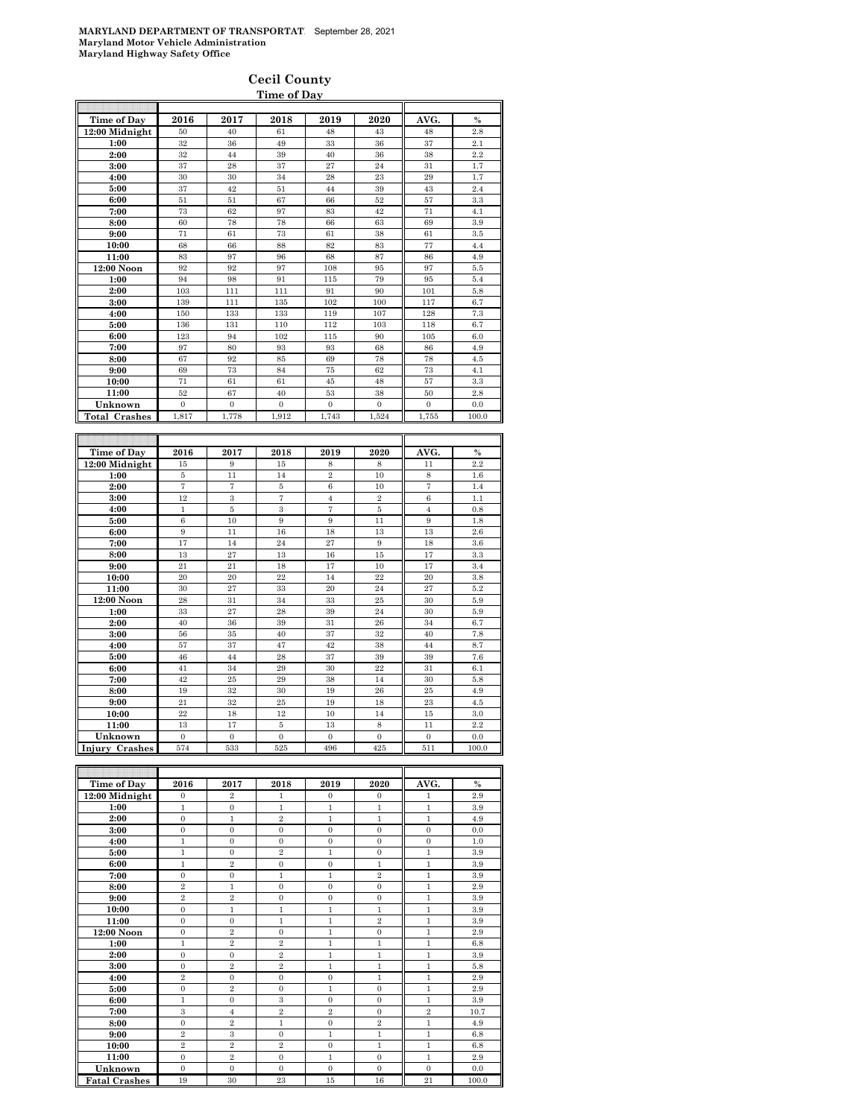#### **Cecil County Time of Day**

| Time of Day          | 2016             | 2017             | 2018           | 2019              | 2020             | AVG.             | $\%$  |
|----------------------|------------------|------------------|----------------|-------------------|------------------|------------------|-------|
| 12:00 Midnight       | 50               | 40               | 61             | 48                | 43               | 48               | 2.8   |
| 1:00                 | 32               | 36               | 49             | 33                | 36               | 37               | 2.1   |
| 2:00                 | 32               | 44               | 39             | 40                | 36               | 38               | 2.2   |
| 3:00                 | 37               | 28               | 37             | 27                | 24               | 31               | 1.7   |
| 4:00                 | 30               | 30               | 34             | 28                | 23               | 29               | 1.7   |
| 5:00                 | 37               | 42               | 51             | 44                | 39               | 43               | 2.4   |
| 6:00                 | 51               | 51               | 67             | 66                | 52               | 57               | 3.3   |
| 7:00                 | 73               | 62               | 97             | 83                | 42               | 71               | 4.1   |
| 8:00                 | 60               | 78               | 78             | 66                | 63               | 69               | 3.9   |
| 9:00                 | 71               | 61               | 73             | 61                | 38               | 61               | 3.5   |
| 10:00                | 68               | 66               | 88             | 82                | 83               | 77               | 4.4   |
| 11:00                | 83               | 97               | 96             | 68                | 87               | 86               | 4.9   |
| 12:00 Noon           | 92               | 92               | 97             | 108               | 95               | 97               | 5.5   |
| 1:00                 | 94               | 98               | 91             | 115               | 79               | 95               | 5.4   |
| 2:00                 | 103              | 111              | 111            | 91                | 90               | 101              | 5.8   |
| 3:00                 | 139              | 111              | 135            | 102               | 100              | 117              | 6.7   |
| 4:00                 | 150              | 133              | 133            | 119               | 107              | 128              | 7.3   |
| 5:00                 | 136              | 131              | 110            | 112               | 103              | 118              | 6.7   |
| 6:00                 | 123              | 94               | 102            | 115               | 90               | 105              | 6.0   |
| 7:00                 | 97               | 80               | 93             | 93                | 68               | 86               | 4.9   |
| 8:00                 | 67               | 92               | 85             | 69                | 78               | 78               | 4.5   |
| 9:00                 | 69               | 73               | 84             | 75                | 62               | 73               | 4.1   |
| 10:00                | 71               | 61               | 61             | 45                | 48               | 57               | 3.3   |
| 11:00                | 52               | 67               | 40             | 53                | 38               | 50               | 2.8   |
| Unknown              | $\Omega$         | $\mathbf{0}$     | $\overline{0}$ | $\Omega$          | $\mathbf{0}$     | $\overline{0}$   | 0.0   |
| <b>Total Crashes</b> | 1,817            | 1,778            | 1,912          | 1,743             | 1,524            | 1,755            | 100.0 |
|                      |                  |                  |                |                   |                  |                  |       |
|                      |                  |                  |                |                   |                  |                  |       |
|                      |                  |                  |                |                   |                  |                  |       |
| Time of Day          | 2016             | 2017             | 2018           | 2019              | 2020             | AVG.             | $\%$  |
| 12:00 Midnight       | 15               | 9                | 15             | 8                 | 8                | 11               | 2.2   |
| 1:00                 | 5                | 11               | 14             | $\overline{2}$    | 10               | 8                | 1.6   |
| 2:00                 | $\overline{7}$   | $\overline{7}$   | 5              | $\boldsymbol{6}$  | 10               | $\overline{7}$   | 1.4   |
| 3:00                 | 12               | 3                | 7              | $\overline{4}$    | $\,2\,$          | 6                | 1.1   |
| 4:00                 | $\mathbf 1$      | $\bf 5$          | $\,3$          | $\scriptstyle{7}$ | $\overline{5}$   | $\overline{4}$   | 0.8   |
| 5:00                 | 6                | 10               | 9              | 9                 | 11               | 9                | 1.8   |
| 6:00                 | 9                | 11               | 16             | 18                | 13               | 13               | 2.6   |
| 7:00                 | 17               | 14               | 24             | 27                | 9                | 18               | 3.6   |
| 8:00                 | 13               | 27               | 13             | 16                | 15               | 17               | 3.3   |
| 9:00                 | 21               | 21               | 18             | 17                | 10               | 17               | 3.4   |
| 10:00                | 20               | 20               | 22             | 14                | 22               | 20               | 3.8   |
| 11:00                | 30               | 27               | 33             | 20                | 24               | 27               | 5.2   |
| 12:00 Noon           | 28               | 31               | 34             | 33                | 25               | 30               | 5.9   |
| 1:00                 | 33               | 27               | 28             | 39                | 24               | 30               | 5.9   |
| 2:00                 | 40               | 36               | 39             | 31                | 26               | 34               | 6.7   |
| 3:00                 | 56               | 35               | 40             | 37                | 32               | 40               | 7.8   |
| 4:00                 | 57               | 37               | 47             | 42                | 38               | 44               | 8.7   |
| 5:00                 | 46               | 44               | 28             | 37                | 39               | 39               | 7.6   |
| 6:00                 | 41               | 34               | 29             | 30                | 22               | 31               | 6.1   |
| 7:00                 | 42               | 25               | 29             | 38                | 14               | 30               | 5.8   |
| 8:00                 | 19               | 32               | 30             | 19                | 26               | 25               | 4.9   |
| 9:00                 | 21               | 32               | 25             | 19                | 18               | 23               | 4.5   |
| 10:00                | $^{22}$          | 18               | 12             | 10                | 14               | 15               | 3.0   |
| 11:00                | 13               | 17               | 5              | 13                | 8                | 11               | 2.2   |
| Unknown              | $\boldsymbol{0}$ | $\boldsymbol{0}$ | $\bf{0}$       | $\mathbf{0}$      | $\boldsymbol{0}$ | $\boldsymbol{0}$ | 0.0   |

| Time of Day          | 2016           | 2017           | 2018           | 2019           | 2020           | AVG.           | $\frac{0}{0}$ |
|----------------------|----------------|----------------|----------------|----------------|----------------|----------------|---------------|
| 12:00 Midnight       | $\Omega$       | $\overline{2}$ | 1              | $\Omega$       | $\Omega$       | 1              | 2.9           |
| 1:00                 | 1              | $\mathbf{0}$   | 1              | 1              | $\mathbf{1}$   | 1              | 3.9           |
| 2:00                 | $\overline{0}$ | $\mathbf{1}$   | $\overline{2}$ | $\mathbf{1}$   | $\mathbf{1}$   | $\mathbf{1}$   | 4.9           |
| 3:00                 | $\Omega$       | $\Omega$       | $\Omega$       | $\Omega$       | $\Omega$       | $\Omega$       | 0.0           |
| 4:00                 | 1              | $\Omega$       | $\mathbf{0}$   | $\Omega$       | $\mathbf{0}$   | $\mathbf{0}$   | 1.0           |
| 5:00                 | 1              | $\mathbf{0}$   | $\overline{2}$ | $\mathbf{1}$   | $\mathbf{0}$   | 1              | 3.9           |
| 6:00                 | 1              | $\overline{2}$ | $\mathbf{0}$   | $\overline{0}$ | $\mathbf{1}$   | $\mathbf{1}$   | 3.9           |
| 7:00                 | $\mathbf{0}$   | $\mathbf{0}$   | $\mathbf{1}$   | 1              | $\overline{2}$ | $\mathbf{1}$   | 3.9           |
| 8:00                 | $\overline{2}$ | 1              | $\mathbf{0}$   | $\overline{0}$ | $\overline{0}$ | 1              | 2.9           |
| 9:00                 | $\overline{2}$ | $\overline{2}$ | $\Omega$       | $\Omega$       | $\Omega$       | $\mathbf{1}$   | 3.9           |
| 10:00                | $\Omega$       | $\mathbf{1}$   | $\mathbf{1}$   | $\mathbf{1}$   | $\mathbf{1}$   | $\mathbf{1}$   | 3.9           |
| 11:00                | $\Omega$       | $\Omega$       | $\mathbf{1}$   | $\mathbf{1}$   | $\overline{2}$ | $\mathbf{1}$   | 3.9           |
| 12:00 Noon           | $\Omega$       | $\overline{2}$ | $\mathbf{0}$   | $\mathbf{1}$   | $\Omega$       | $\mathbf{1}$   | 2.9           |
| 1:00                 | 1              | $\overline{2}$ | $\overline{2}$ | 1              | $\mathbf{1}$   | 1              | 6.8           |
| 2:00                 | $\overline{0}$ | $\mathbf{0}$   | $\overline{2}$ | $\mathbf{1}$   | $\mathbf{1}$   | $\mathbf{1}$   | 3.9           |
| 3:00                 | $\Omega$       | $\overline{2}$ | $\overline{2}$ | $\mathbf{1}$   | $\mathbf{1}$   | $\mathbf{1}$   | 5.8           |
| 4:00                 | $\overline{2}$ | $\mathbf{0}$   | $\mathbf{0}$   | $\mathbf{0}$   | $\mathbf{1}$   | $\mathbf{1}$   | 2.9           |
| 5:00                 | $\Omega$       | $\overline{2}$ | $\mathbf{0}$   | $\mathbf{1}$   | $\Omega$       | $\mathbf{1}$   | 2.9           |
| 6:00                 | 1              | $\Omega$       | 3              | $\Omega$       | $\Omega$       | $\mathbf{1}$   | 3.9           |
| 7:00                 | 3              | $\overline{4}$ | $\overline{2}$ | $\overline{2}$ | $\mathbf{0}$   | $\overline{2}$ | 10.7          |
| 8:00                 | $\mathbf{0}$   | $\overline{2}$ | $\mathbf{1}$   | $\overline{0}$ | $\overline{2}$ | $\mathbf{1}$   | 4.9           |
| 9:00                 | $\overline{2}$ | 3              | $\mathbf{0}$   | $\mathbf{1}$   | $\mathbf{1}$   | $\mathbf{1}$   | 6.8           |
| 10:00                | $\overline{2}$ | $\overline{2}$ | $\overline{2}$ | $\mathbf{0}$   | $\mathbf{1}$   | $\mathbf{1}$   | 6.8           |
| 11:00                | $\Omega$       | $\overline{2}$ | $\mathbf{0}$   | $\mathbf{1}$   | $\overline{0}$ | $\mathbf{1}$   | 2.9           |
| Unknown              | $\Omega$       | $\Omega$       | $\Omega$       | $\Omega$       | $\Omega$       | $\Omega$       | 0.0           |
| <b>Fatal Crashes</b> | 19             | 30             | 23             | 15             | 16             | 21             | 100.0         |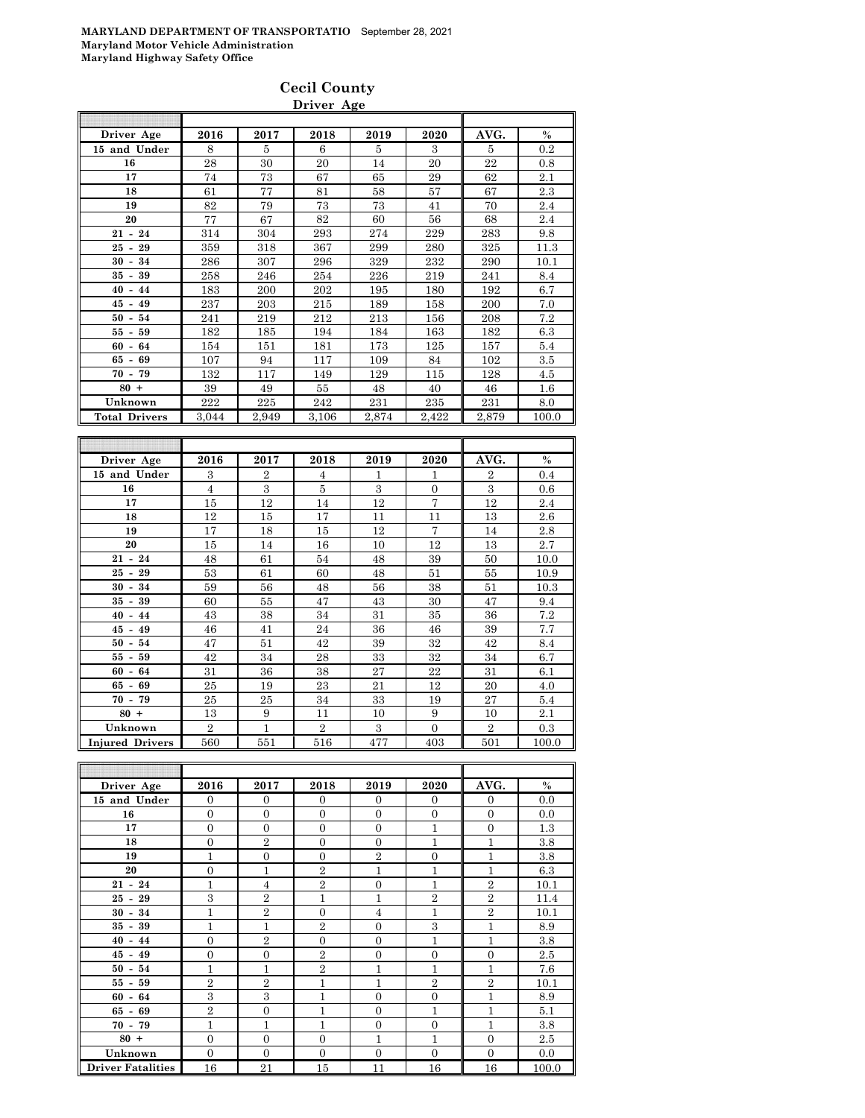| <b>Cecil County</b> |
|---------------------|
| Driver Age          |

| Driver Age                           | 2016           | 2017           | 2018           | 2019  | 2020           | AVG.           | $\%$          |
|--------------------------------------|----------------|----------------|----------------|-------|----------------|----------------|---------------|
| 15 and Under                         | 8              | 5              | 6              | 5     | 3              | 5              | 0.2           |
| 16                                   | 28             | 30             | 20             | 14    | 20             | 22             | 0.8           |
| 17                                   | 74             | 73             | 67             | 65    | 29             | 62             | 2.1           |
| 18                                   | 61             | 77             | 81             | 58    | 57             | 67             | 2.3           |
| 19                                   | 82             | 79             | 73             | 73    | 41             | 70             | 2.4           |
| 20                                   | 77             | 67             | 82             | 60    | 56             | 68             | 2.4           |
| $21 - 24$                            | 314            | 304            | 293            | 274   | 229            | 283            | 9.8           |
| 29<br>$25 -$                         | 359            | 318            | 367            | 299   | 280            | 325            | 11.3          |
| 34<br>$30 -$                         | 286            | 307            | 296            | 329   | 232            | 290            | 10.1          |
| 39<br>35<br>$\blacksquare$           | 258            | 246            | 254            | 226   | 219            | 241            | 8.4           |
| 40<br>44<br>$\sim$                   | 183            | 200            | 202            | 195   | 180            | 192            | 6.7           |
| 45<br>49<br>$\blacksquare$           | 237            | 203            | 215            | 189   | 158            | 200            | 7.0           |
| 50<br>54<br>$\overline{\phantom{a}}$ | 241            | 219            | 212            | 213   | 156            | 208            | 7.2           |
| 59<br>55<br>$\blacksquare$           | 182            | 185            | 194            | 184   | 163            | 182            | 6.3           |
| 60<br>$\bar{\phantom{a}}$<br>64      | 154            | 151            | 181            | 173   | 125            | 157            | 5.4           |
| 65<br>69<br>$\overline{\phantom{a}}$ | 107            | 94             | 117            | 109   | 84             | 102            | 3.5           |
| 70<br>79<br>$\blacksquare$           | 132            | 117            | 149            | 129   | 115            | 128            | 4.5           |
| $80 +$                               | 39             | 49             | 55             | 48    | 40             | 46             | $1.6\,$       |
| Unknown                              | 222            | 225            | 242            | 231   | 235            | 231            | 8.0           |
| <b>Total Drivers</b>                 | 3.044          | 2.949          | 3.106          | 2.874 | 2.422          | 2,879          | 100.0         |
|                                      |                |                |                |       |                |                |               |
|                                      |                |                |                |       |                |                |               |
|                                      |                |                |                |       |                |                |               |
| Driver Age                           | 2016           | 2017           | 2018           | 2019  | 2020           | AVG.           | $\frac{0}{0}$ |
| 15 and Under                         | 3              | $\overline{2}$ | 4              | 1     | 1              | $\overline{2}$ | 0.4           |
| 16                                   | $\overline{4}$ | 3              | 5              | 3     | $\theta$       | 3              | 0.6           |
| 17                                   | 15             | 12             | 14             | 12    | $\overline{7}$ | 12             | $2.4\,$       |
| 18                                   | 12             | 15             | 17             | 11    | 11             | 13             | 2.6           |
| 19                                   | 17             | 18             | 15             | 12    | $\overline{7}$ | 14             | 2.8           |
| 20                                   | 15             | 14             | 16             | 10    | 12             | 13             | 2.7           |
| $21 -$<br>24                         | 48             | 61             | 54             | 48    | 39             | 50             | 10.0          |
| $25 -$<br>29                         | 53             | 61             | 60             | 48    | 51             | 55             | 10.9          |
| $30 -$<br>34                         | 59             | 56             | 48             | 56    | 38             | 51             | 10.3          |
| 35<br>$\sim$<br>39                   | 60             | 55             | 47             | 43    | 30             | 47             | 9.4           |
| $40 - 44$                            | 43             | 38             | 34             | 31    | 35             | 36             | 7.2           |
| $-49$<br>45                          | 46             | 41             | 24             | 36    | 46             | 39             | 7.7           |
| 50<br>$\overline{\phantom{a}}$<br>54 | 47             | 51             | 42             | 39    | 32             | 42             | 8.4           |
| 59<br>55<br>$\overline{\phantom{a}}$ | 42             | 34             | 28             | 33    | 32             | 34             | 6.7           |
| 64<br>60<br>$\blacksquare$           | 31             | 36             | 38             | 27    | 22             | 31             | 6.1           |
| 69<br>65 -                           | 25             | 19             | 23             | 21    | 12             | 20             | 4.0           |
| 79<br>70<br>$\blacksquare$           | 25             | 25             | 34             | 33    | 19             | 27             | 5.4           |
| $80 +$                               | 13             | 9              | 11             | 10    | 9              | 10             | 2.1           |
| Unknown                              | $\overline{2}$ | 1              | $\overline{2}$ | 3     | $\overline{0}$ | $\overline{2}$ | 0.3           |
| <b>Injured Drivers</b>               | 560            | 551            | $^{516}$       | 477   | 403            | 501            | 100.0         |
|                                      |                |                |                |       |                |                |               |

| Driver Age               | 2016           | 2017             | 2018           | 2019           | 2020           | AVG.           | $\%$  |
|--------------------------|----------------|------------------|----------------|----------------|----------------|----------------|-------|
| 15 and Under             | $\overline{0}$ | $\overline{0}$   | $\mathbf{0}$   | $\theta$       | $\overline{0}$ | $\overline{0}$ | 0.0   |
| 16                       | $\overline{0}$ | $\overline{0}$   | $\overline{0}$ | $\Omega$       | $\mathbf{0}$   | $\overline{0}$ | 0.0   |
| 17                       | $\overline{0}$ | $\overline{0}$   | $\Omega$       | $\theta$       | 1              | $\overline{0}$ | 1.3   |
| 18                       | $\overline{0}$ | $\overline{2}$   | $\Omega$       | $\Omega$       | 1              | $\mathbf{1}$   | 3.8   |
| 19                       | 1              | $\boldsymbol{0}$ | $\overline{0}$ | $\overline{2}$ | $\overline{0}$ | $\overline{1}$ | 3.8   |
| 20                       | $\overline{0}$ | $\mathbf{1}$     | $\overline{2}$ | 1              | 1              | $\mathbf{1}$   | 6.3   |
| $21 - 24$                | $\mathbf{1}$   | $\overline{4}$   | $\overline{2}$ | $\overline{0}$ | $\mathbf{1}$   | $\overline{2}$ | 10.1  |
| $25 - 29$                | 3              | $\overline{2}$   | 1              | 1              | $\overline{2}$ | $\overline{2}$ | 11.4  |
| $30 - 34$                | $\mathbf{1}$   | $\overline{2}$   | $\Omega$       | $\overline{4}$ | 1              | $\overline{2}$ | 10.1  |
| $35 - 39$                | $\mathbf{1}$   | $\overline{1}$   | $\overline{2}$ | $\Omega$       | 3              | $\mathbf{1}$   | 8.9   |
| $40 - 44$                | $\overline{0}$ | $\overline{2}$   | $\overline{0}$ | $\theta$       | 1              | $\mathbf{1}$   | 3.8   |
| $45 - 49$                | $\overline{0}$ | $\boldsymbol{0}$ | $\overline{2}$ | $\overline{0}$ | $\theta$       | $\overline{0}$ | 2.5   |
| $50 - 54$                | $\mathbf{1}$   | $\overline{1}$   | $\overline{2}$ | 1              | 1              | 1              | 7.6   |
| $55 - 59$                | $\overline{2}$ | $\overline{2}$   | 1              | 1              | $\overline{2}$ | $\overline{2}$ | 10.1  |
| $60 - 64$                | 3              | 3                | 1              | $\overline{0}$ | $\overline{0}$ | $\mathbf{1}$   | 8.9   |
| $65 - 69$                | $\overline{2}$ | $\overline{0}$   | 1              | $\overline{0}$ | 1              | 1              | 5.1   |
| $70 - 79$                | 1              | 1                | 1              | $\overline{0}$ | $\overline{0}$ | 1              | 3.8   |
| $80 +$                   | $\overline{0}$ | $\overline{0}$   | $\overline{0}$ | 1              | 1              | $\overline{0}$ | 2.5   |
| Unknown                  | $\overline{0}$ | $\overline{0}$   | $\overline{0}$ | $\overline{0}$ | $\theta$       | $\overline{0}$ | 0.0   |
| <b>Driver Fatalities</b> | 16             | 21               | 15             | 11             | 16             | 16             | 100.0 |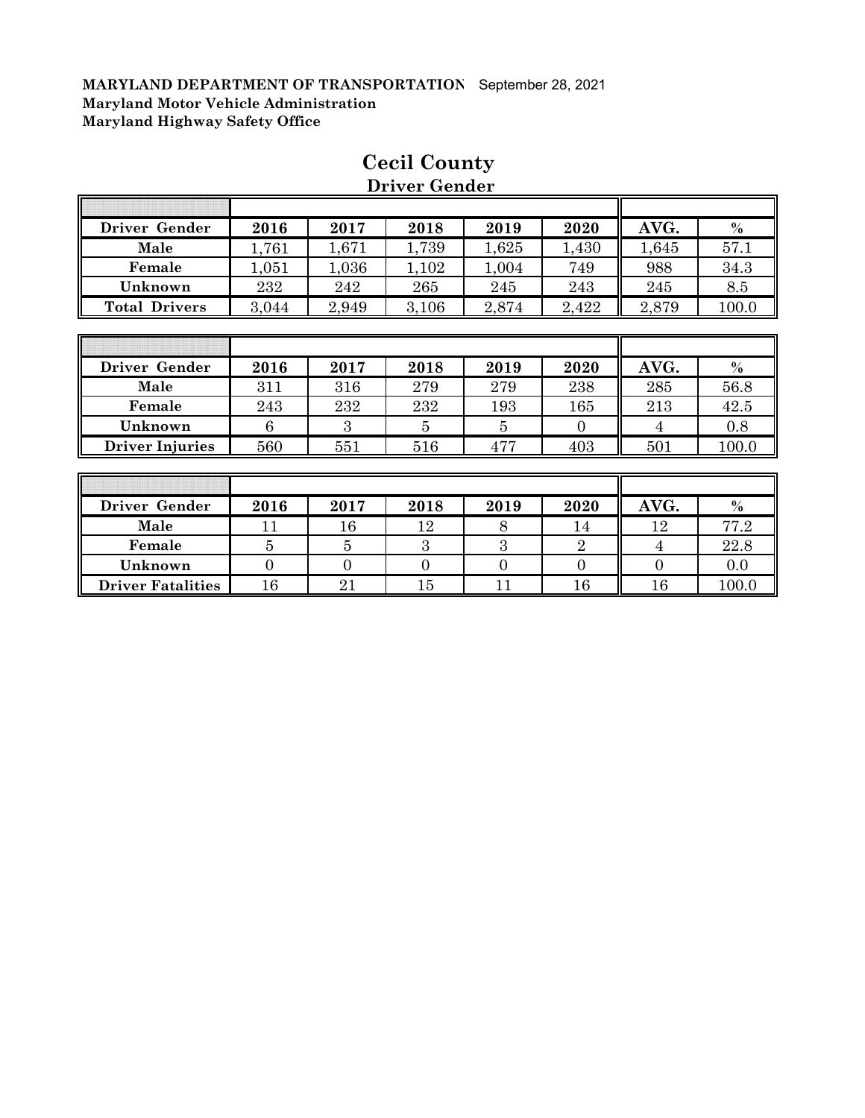| <b>Driver Gender</b>   | 2016  | 2017  | 2018  | 2019  | 2020     | AVG.  | $\%$  |
|------------------------|-------|-------|-------|-------|----------|-------|-------|
| Male                   | 1,761 | 1,671 | 1,739 | 1,625 | 1,430    | 1,645 | 57.1  |
| Female                 | 1,051 | 1,036 | 1,102 | 1,004 | 749      | 988   | 34.3  |
| Unknown                | 232   | 242   | 265   | 245   | 243      | 245   | 8.5   |
| <b>Total Drivers</b>   | 3,044 | 2,949 | 3,106 | 2,874 | 2,422    | 2,879 | 100.0 |
|                        |       |       |       |       |          |       |       |
|                        |       |       |       |       |          |       |       |
| Driver Gender          | 2016  | 2017  | 2018  | 2019  | 2020     | AVG.  | $\%$  |
| Male                   | 311   | 316   | 279   | 279   | 238      | 285   | 56.8  |
| Female                 | 243   | 232   | 232   | 193   | 165      | 213   | 42.5  |
| Unknown                | 6     | 3     | 5     | 5     | $\Omega$ | 4     | 0.8   |
| <b>Driver Injuries</b> | 560   | 551   | 516   | 477   | 403      | 501   | 100.0 |
|                        |       |       |       |       |          |       |       |

## **Cecil County Driver Gender**

1

T

| r emale                | 245                         | 232    | 232    | 199    | 109  | 415    | 42.0     |
|------------------------|-----------------------------|--------|--------|--------|------|--------|----------|
| Unknown                |                             |        |        |        |      |        | 0.8      |
| <b>Driver Injuries</b> | 560                         | 551    | 516    | 477    | 403  | 501    | 100.0    |
|                        |                             |        |        |        |      |        |          |
|                        |                             |        |        |        |      |        |          |
| Driver Gender          | 2016                        | 2017   | 2018   | 2019   | 2020 | AVG.   | $\%$     |
| $\mathbf{v}$           | $\rightarrow$ $\rightarrow$ | $\sim$ | $\sim$ | $\sim$ | $-1$ | $\sim$ | $  \sim$ |

| Driver Gender            | 2016 | 2017 | 2018 | 2019 | 2020 | AVG. | $\%$    |
|--------------------------|------|------|------|------|------|------|---------|
| Male                     |      | 16   | 2    |      | 14   | 1 ດ  | 77.2    |
| Female                   |      |      |      |      |      |      | 22.8    |
| Unknown                  |      |      |      |      |      |      | $0.0\,$ |
| <b>Driver Fatalities</b> |      | 21   |      |      |      |      | 00.0    |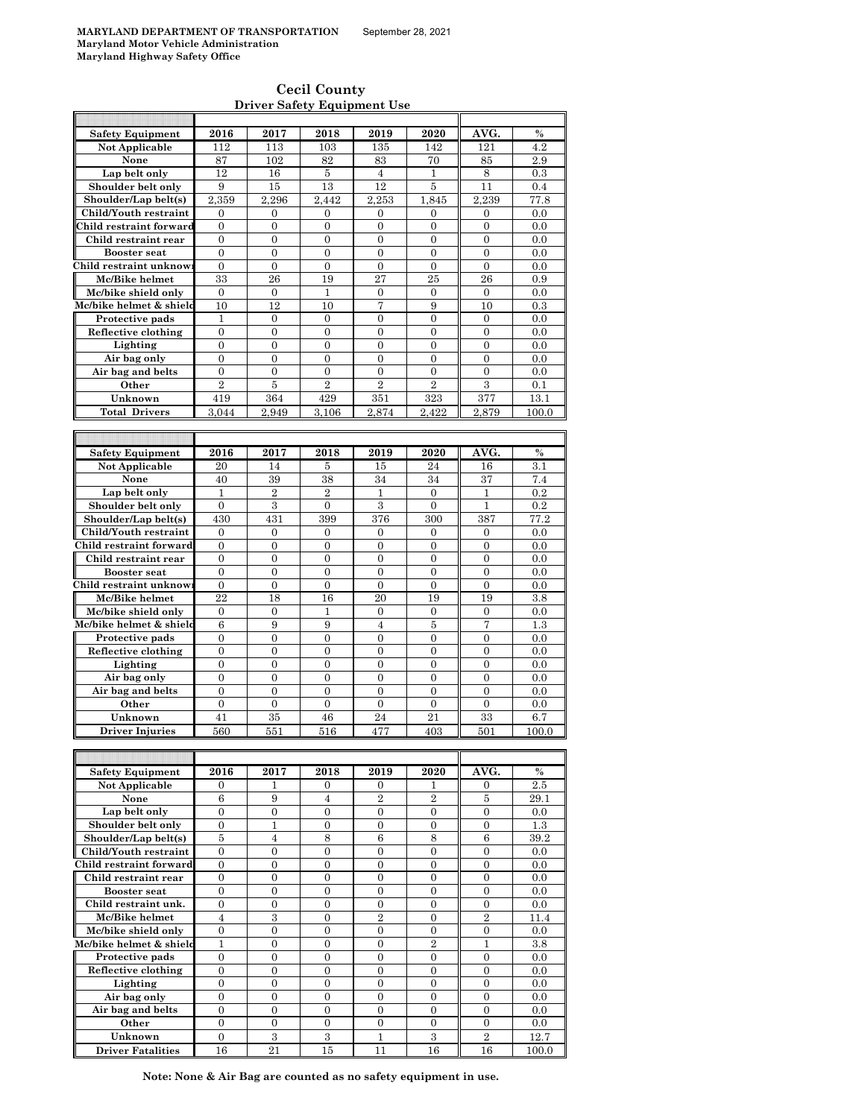$\mathsf{r}$ 

#### **Cecil County Driver Safety Equipment Use**

| <b>Safety Equipment</b>             | 2016                             | 2017                               | 2018                               | 2019                               | 2020                               | AVG.                               | $\%$          |
|-------------------------------------|----------------------------------|------------------------------------|------------------------------------|------------------------------------|------------------------------------|------------------------------------|---------------|
| Not Applicable                      | 112                              | 113                                | 103                                | 135                                | 142                                | 121                                | 4.2           |
| None                                | 87                               | 102                                | 82                                 | 83                                 | 70                                 | 85                                 | 2.9           |
| Lap belt only                       | 12                               | 16                                 | 5                                  | $\overline{4}$                     | $\mathbf{1}$                       | 8                                  | 0.3           |
| Shoulder belt only                  | 9                                | 15                                 | 13                                 | 12                                 | $\bf 5$                            | 11                                 | 0.4           |
| Shoulder/Lap belt(s)                | 2,359                            | 2,296                              | 2,442                              | 2,253                              | 1,845                              | 2,239                              | 77.8          |
| Child/Youth restraint               | $\boldsymbol{0}$                 | 0                                  | 0                                  | 0                                  | 0                                  | 0                                  | 0.0           |
| Child restraint forward             | $\mathbf{0}$                     | $\mathbf{0}$                       | $\boldsymbol{0}$                   | $\mathbf{0}$                       | $\overline{0}$                     | $\boldsymbol{0}$                   | 0.0           |
| Child restraint rear                | $\boldsymbol{0}$                 | $\boldsymbol{0}$                   | $\boldsymbol{0}$                   | $\boldsymbol{0}$                   | $\boldsymbol{0}$                   | $\boldsymbol{0}$                   | 0.0           |
| <b>Booster seat</b>                 | $\mathbf{0}$                     | $\mathbf{0}$                       | $\overline{0}$                     | $\overline{0}$                     | $\overline{0}$                     | $\boldsymbol{0}$                   | 0.0           |
| Child restraint unknow              | $\boldsymbol{0}$                 | $\boldsymbol{0}$                   | $\mathbf{0}$                       | $\boldsymbol{0}$                   | $\boldsymbol{0}$                   | $\boldsymbol{0}$                   | 0.0           |
| Mc/Bike helmet                      | 33                               | 26                                 | 19                                 | 27                                 | 25                                 | 26                                 | 0.9           |
| Mc/bike shield only                 | $\mathbf{0}$                     | $\mathbf{0}$                       | $\mathbf{1}$                       | $\overline{0}$                     | $\overline{0}$                     | $\overline{0}$                     | 0.0           |
| Mc/bike helmet & shield             | 10                               | 12                                 | 10                                 | 7                                  | 9                                  | 10                                 | 0.3           |
| Protective pads                     | $\mathbf{1}$                     | $\boldsymbol{0}$                   | 0                                  | $\overline{0}$                     | $\overline{0}$                     | $\boldsymbol{0}$                   | 0.0           |
| Reflective clothing                 | $\boldsymbol{0}$                 | $\boldsymbol{0}$                   | 0                                  | $\boldsymbol{0}$                   | 0                                  | $\boldsymbol{0}$                   | 0.0           |
| Lighting                            | $\overline{0}$                   | $\overline{0}$                     | $\overline{0}$                     | $\overline{0}$                     | $\overline{0}$                     | $\overline{0}$                     | 0.0           |
| Air bag only                        | $\boldsymbol{0}$                 | $\boldsymbol{0}$                   | $\mathbf{0}$                       | $\overline{0}$                     | 0                                  | $\boldsymbol{0}$                   | 0.0           |
| Air bag and belts                   | $\boldsymbol{0}$                 | $\mathbf{0}$                       | $\overline{0}$                     | $\overline{0}$                     | $\overline{0}$                     | $\overline{0}$                     | 0.0           |
| Other                               | $\overline{2}$                   | 5                                  | $\overline{2}$                     | $\overline{2}$                     | $\overline{2}$                     | 3                                  | 0.1           |
| Unknown                             | 419                              | 364                                | 429                                | 351                                | 323                                | 377                                | 13.1          |
| <b>Total Drivers</b>                | 3.044                            | 2.949                              | 3.106                              | 2,874                              | 2.422                              | 2.879                              | 100.0         |
|                                     |                                  |                                    |                                    |                                    |                                    |                                    |               |
|                                     |                                  |                                    |                                    |                                    |                                    |                                    |               |
| <b>Safety Equipment</b>             | 2016                             | 2017                               | 2018                               | 2019                               | 2020                               | AVG.                               | $\%$          |
| Not Applicable                      | 20                               | 14                                 | 5                                  | 15                                 | 24                                 | 16                                 | 3.1           |
| None                                | 40                               | 39                                 | 38                                 | 34                                 | 34                                 | 37                                 | 7.4           |
| Lap belt only                       | 1                                | $\overline{2}$                     | $\overline{2}$                     | 1                                  | $\boldsymbol{0}$                   | 1                                  | 0.2           |
| Shoulder belt only                  | $\mathbf{0}$                     | 3                                  | $\overline{0}$                     | 3                                  | $\overline{0}$                     | $\mathbf{1}$                       | 0.2           |
| Shoulder/Lap belt(s)                | 430                              | 431                                | 399                                | 376                                | 300                                | 387                                | 77.2          |
| Child/Youth restraint               | $\mathbf{0}$                     | $\mathbf{0}$                       | $\overline{0}$                     | $\overline{0}$                     | $\mathbf{0}$                       | 0                                  | 0.0           |
| Child restraint forward             | $\boldsymbol{0}$                 | $\boldsymbol{0}$                   | $\mathbf{0}$                       | $\boldsymbol{0}$                   | $\boldsymbol{0}$                   | $\boldsymbol{0}$                   | 0.0           |
| Child restraint rear                | $\mathbf{0}$                     | $\mathbf{0}$                       | $\overline{0}$                     | $\overline{0}$                     | $\overline{0}$                     | $\overline{0}$                     | 0.0           |
| <b>Booster seat</b>                 | $\overline{0}$                   | $\overline{0}$                     | $\overline{0}$                     | $\overline{0}$                     | $\overline{0}$                     | $\overline{0}$                     | 0.0           |
| Child restraint unknow              | $\boldsymbol{0}$                 | $\boldsymbol{0}$                   | 0                                  | $\boldsymbol{0}$                   | $\boldsymbol{0}$                   | $\boldsymbol{0}$                   | 0.0           |
| Mc/Bike helmet                      | 22                               | 18                                 | 16                                 | 20                                 | 19                                 | 19                                 | 3.8           |
| Mc/bike shield only                 | $\boldsymbol{0}$                 | $\boldsymbol{0}$                   | 1                                  | $\boldsymbol{0}$                   | $\boldsymbol{0}$                   | $\boldsymbol{0}$                   | 0.0           |
| Mc/bike helmet & shield             | $\,6$                            | 9                                  | 9                                  | $\overline{4}$                     | $\bf 5$                            | $\overline{7}$                     | 1.3           |
| Protective pads                     | $\boldsymbol{0}$                 | $\boldsymbol{0}$                   | $\boldsymbol{0}$                   | $\boldsymbol{0}$                   | 0                                  | $\boldsymbol{0}$                   | 0.0           |
| Reflective clothing                 | $\overline{0}$                   | $\overline{0}$                     | $\overline{0}$                     | $\overline{0}$                     | $\overline{0}$                     | $\overline{0}$                     | 0.0           |
| Lighting                            | $\boldsymbol{0}$                 | $\boldsymbol{0}$                   | $\boldsymbol{0}$                   | $\boldsymbol{0}$                   | $\boldsymbol{0}$                   | $\boldsymbol{0}$                   | 0.0           |
| Air bag only                        | $\overline{0}$                   | $\mathbf{0}$                       | $\overline{0}$                     | $\overline{0}$                     | $\overline{0}$                     | $\overline{0}$                     | 0.0           |
| Air bag and belts                   | $\boldsymbol{0}$                 | $\boldsymbol{0}$                   | $\overline{0}$                     | $\boldsymbol{0}$                   | $\boldsymbol{0}$                   | $\boldsymbol{0}$                   | 0.0           |
| Other                               | $\boldsymbol{0}$                 | $\mathbf{0}$                       | $\overline{0}$                     | $\overline{0}$                     | $\overline{0}$                     | $\overline{0}$                     | 0.0           |
| Unknown                             | 41                               | 35                                 | 46                                 | 24                                 | 21                                 | 33                                 | 6.7           |
| Driver Injuries                     | 560                              | 551                                | 516                                | 477                                | 403                                | 501                                | 100.0         |
|                                     |                                  |                                    |                                    |                                    |                                    |                                    |               |
|                                     |                                  |                                    |                                    |                                    |                                    |                                    |               |
| <b>Safety Equipment</b>             | 2016                             | 2017                               | 2018                               | 2019                               | 2020                               | AVG.                               | %             |
| Not Applicable                      | $\mathbf{0}$                     | 1                                  | 0                                  | $\mathbf{0}$                       | 1                                  | $\boldsymbol{0}$                   | 2.5           |
| None                                | 6                                | 9                                  | $\overline{4}$                     | $\overline{2}$                     | $\overline{2}$                     | $\bf 5$                            | 29.1          |
| Lap belt only                       | $\mathbf{0}$                     | $\boldsymbol{0}$                   | $\boldsymbol{0}$                   | $\overline{0}$                     | $\boldsymbol{0}$                   | $\boldsymbol{0}$                   | 0.0           |
| Shoulder belt only                  | $\boldsymbol{0}$                 | $\mathbf{1}$                       | 0                                  | $\boldsymbol{0}$                   | $\boldsymbol{0}$                   | $\boldsymbol{0}$                   | 1.3           |
| Shoulder/Lap belt(s)                | 5                                | $\overline{4}$                     | 8                                  | 6                                  | 8                                  | 6                                  | 39.2          |
| Child/Youth restraint               | $\mathbf{0}$                     | $\overline{0}$                     | $\overline{0}$                     | $\overline{0}$                     | $\overline{0}$                     | $\overline{0}$                     | 0.0           |
| Child restraint forward             |                                  |                                    |                                    |                                    | $\boldsymbol{0}$                   | $\boldsymbol{0}$                   | 0.0           |
| Child restraint rear                |                                  |                                    |                                    |                                    |                                    |                                    |               |
| <b>Booster seat</b>                 | 0                                | $\boldsymbol{0}$                   | 0                                  | 0                                  |                                    |                                    |               |
|                                     | $\boldsymbol{0}$                 | $\mathbf{0}$                       | $\boldsymbol{0}$                   | $\boldsymbol{0}$                   | $\boldsymbol{0}$                   | $\boldsymbol{0}$                   | 0.0           |
|                                     | $\boldsymbol{0}$<br>$\mathbf{0}$ | $\boldsymbol{0}$<br>$\overline{0}$ | 0<br>$\overline{0}$                | $\boldsymbol{0}$<br>$\overline{0}$ | $\boldsymbol{0}$<br>$\overline{0}$ | $\boldsymbol{0}$<br>$\overline{0}$ | 0.0           |
| Child restraint unk.                |                                  |                                    |                                    |                                    |                                    |                                    | 0.0           |
| Mc/Bike helmet                      | $\overline{4}$                   | 3<br>$\overline{0}$                | $\boldsymbol{0}$<br>$\overline{0}$ | $\overline{2}$<br>$\overline{0}$   | $\mathbf{0}$<br>$\overline{0}$     | $\overline{2}$                     | 11.4          |
| Mc/bike shield only                 | $\overline{0}$                   |                                    |                                    |                                    |                                    | $\boldsymbol{0}$                   | 0.0           |
| Mc/bike helmet & shield             | 1                                | $\boldsymbol{0}$                   | 0                                  | $\boldsymbol{0}$                   | $\overline{2}$                     | 1                                  | 3.8           |
| Protective pads                     | $\mathbf{0}$                     | $\overline{0}$                     | $\overline{0}$                     | $\overline{0}$                     | $\overline{0}$                     | $\overline{0}$                     | 0.0           |
| Reflective clothing                 | $\boldsymbol{0}$                 | $\mathbf{0}$                       | 0                                  | $\boldsymbol{0}$<br>$\overline{0}$ | $\boldsymbol{0}$<br>$\overline{0}$ | $\boldsymbol{0}$<br>$\overline{0}$ | 0.0           |
| Lighting                            | $\boldsymbol{0}$                 | $\boldsymbol{0}$                   | 0                                  |                                    |                                    |                                    | 0.0           |
| Air bag only                        | $\boldsymbol{0}$                 | $\boldsymbol{0}$                   | 0                                  | $\boldsymbol{0}$                   | $\boldsymbol{0}$                   | $\boldsymbol{0}$                   | 0.0           |
| Air bag and belts                   | $\boldsymbol{0}$                 | $\boldsymbol{0}$                   | $\boldsymbol{0}$                   | $\boldsymbol{0}$                   | $\boldsymbol{0}$                   | $\boldsymbol{0}$                   | 0.0           |
| Other                               | $\boldsymbol{0}$                 | $\mathbf{0}$                       | $\overline{0}$                     | $\overline{0}$                     | $\overline{0}$                     | $\overline{0}$                     | 0.0           |
| Unknown<br><b>Driver Fatalities</b> | $\mathbf{0}$<br>16               | 3<br>21                            | 3<br>$\overline{15}$               | $\mathbf{1}$<br>11                 | 3<br>16                            | $\boldsymbol{2}$<br>16             | 12.7<br>100.0 |

**Note: None & Air Bag are counted as no safety equipment in use.**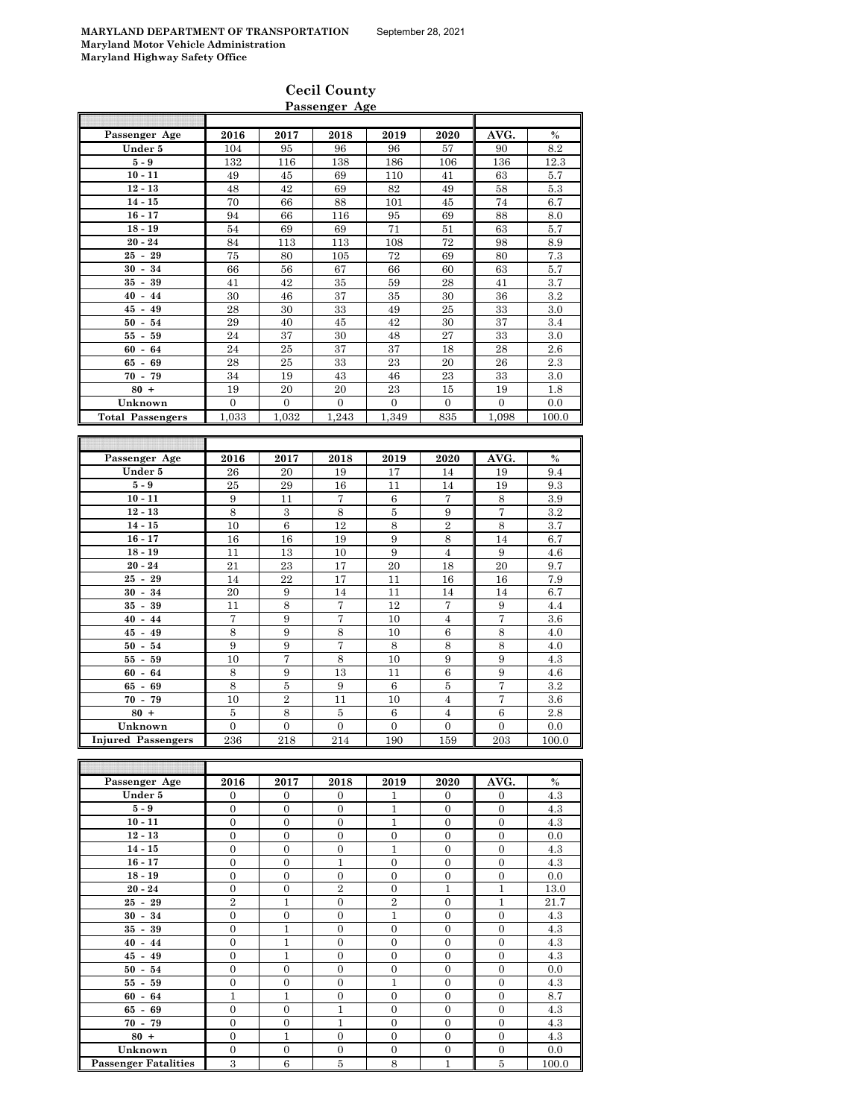| Passenger Age | 2016 | 2017 | 2018 | 2019 | 2020 | AVG. | $\%$    |
|---------------|------|------|------|------|------|------|---------|
| Under 5       | 104  | 95   | 96   | 96   | 57   | 90   | 8.2     |
| $5-9$         | 132  | 116  | 138  | 186  | 106  | 136  | 12.3    |
| $10 - 11$     | 49   | 45   | 69   | 110  | 41   | 63   | 5.7     |
| $12 - 13$     | 48   | 42   | 69   | 82   | 49   | 58   | 5.3     |
| $14 - 15$     | 70   | 66   | 88   | 101  | 45   | 74   | 6.7     |
| $16 - 17$     | 94   | 66   | 116  | 95   | 69   | 88   | 8.0     |
| $18 - 19$     | 54   | 69   | 69   | 71   | 51   | 63   | 5.7     |
| $20 - 24$     | 84   | 113  | 113  | 108  | 72   | 98   | 8.9     |
| $25 - 29$     | 75   | 80   | 105  | 72   | 69   | 80   | 7.3     |
| 34<br>$30 -$  | 66   | 56   | 67   | 66   | 60   | 63   | 5.7     |
| $35 - 39$     | 41   | 42   | 35   | 59   | 28   | 41   | 3.7     |
| $40 -$<br>44  | 30   | 46   | 37   | 35   | 30   | 36   | $3.2\,$ |
| $45 -$<br>49  | 28   | 30   | 33   | 49   | 25   | 33   | 3.0     |
| $50 - 54$     | 29   | 40   | 45   | 42   | 30   | 37   | 3.4     |
| $55 - 59$     | 24   | 37   | 30   | 48   | 27   | 33   | $3.0\,$ |
| $60 - 64$     | 24   | 25   | 37   | 37   | 18   | 28   | $2.6\,$ |

|                         |       |       |      |       |      |       | - - -    |
|-------------------------|-------|-------|------|-------|------|-------|----------|
| $80 +$                  | 19    | 20    | 20   | 23    | 15   | 19    | $_{1.8}$ |
| Unknown                 |       |       |      |       |      |       | 0.0      |
| <b>Total Passengers</b> | 1,033 | 1,032 | .243 | 1,349 | 835  | 1,098 | 100.0    |
|                         |       |       |      |       |      |       |          |
|                         |       |       |      |       |      |       |          |
|                         |       |       |      |       |      |       |          |
| Passenger Age           | 2016  | 2017  | 2018 | 2019  | 2020 | AVG.  | $\%$     |
| Under 5                 | 26    | 20    | 19   | 17    | 14   | 19    | 9.4      |

**65 - 69** 28 25 33 23 20 26 2.3 **70 - 79 1** 34 19 43 46 23 33 3.0 **80 +** 19 20 20 23 15 19 1.8

| $5-9$                     | 25             | 29             | 16             | 11             | 14             | 19           | 9.3   |
|---------------------------|----------------|----------------|----------------|----------------|----------------|--------------|-------|
| $10 - 11$                 | 9              | 11             | 7              | 6              | 7              | 8            | 3.9   |
| $12 - 13$                 | 8              | 3              | 8              | $\overline{5}$ | 9              | 7            | 3.2   |
| $14 - 15$                 | 10             | 6              | 12             | 8              | $\overline{2}$ | 8            | 3.7   |
| $16 - 17$                 | 16             | 16             | 19             | 9              | 8              | 14           | 6.7   |
| $18 - 19$                 | 11             | 13             | 10             | 9              | 4              | 9            | 4.6   |
| $20 - 24$                 | 21             | 23             | 17             | 20             | 18             | 20           | 9.7   |
| $25 - 29$                 | 14             | 22             | 17             | 11             | 16             | 16           | 7.9   |
| $30 - 34$                 | 20             | 9              | 14             | 11             | 14             | 14           | 6.7   |
| $35 - 39$                 | 11             | 8              | 7              | 12             | 7              | 9            | 4.4   |
| $40 - 44$                 | 7              | 9              | 7              | 10             | $\overline{4}$ | 7            | 3.6   |
| $45 - 49$                 | 8              | 9              | 8              | 10             | 6              | 8            | 4.0   |
| $50 - 54$                 | 9              | 9              | 7              | 8              | 8              | 8            | 4.0   |
| $55 - 59$                 | 10             | 7              | 8              | 10             | 9              | 9            | 4.3   |
| $60 - 64$                 | 8              | 9              | 13             | 11             | 6              | 9            | 4.6   |
| $65 - 69$                 | 8              | 5              | 9              | 6              | 5              | 7            | 3.2   |
| $70 - 79$                 | 10             | $\overline{2}$ | 11             | 10             | 4              | 7            | 3.6   |
| $80 +$                    | 5              | 8              | 5              | 6              | 4              | 6            | 2.8   |
| Unknown                   | $\overline{0}$ | $\mathbf{0}$   | $\overline{0}$ | $\mathbf{0}$   | $\overline{0}$ | $\mathbf{0}$ | 0.0   |
| <b>Injured Passengers</b> | 236            | 218            | 214            | 190            | 159            | 203          | 100.0 |

| Passenger Age               | 2016           | 2017           | 2018           | 2019           | 2020           | AVG.           | $\%$  |
|-----------------------------|----------------|----------------|----------------|----------------|----------------|----------------|-------|
| Under 5                     | $\mathbf{0}$   | $\Omega$       | $\Omega$       | 1              | $\overline{0}$ | $\overline{0}$ | 4.3   |
| $5-9$                       | $\overline{0}$ | $\overline{0}$ | $\overline{0}$ | $\mathbf{1}$   | $\mathbf{0}$   | $\mathbf{0}$   | 4.3   |
| $10 - 11$                   | $\overline{0}$ | $\overline{0}$ | $\overline{0}$ | 1              | $\Omega$       | $\mathbf{0}$   | 4.3   |
| $12 - 13$                   | $\overline{0}$ | $\theta$       | $\Omega$       | $\mathbf{0}$   | $\Omega$       | $\theta$       | 0.0   |
| $14 - 15$                   | $\overline{0}$ | $\overline{0}$ | $\overline{0}$ | 1              | $\mathbf{0}$   | $\mathbf{0}$   | 4.3   |
| $16 - 17$                   | $\mathbf{0}$   | $\overline{0}$ | 1              | $\mathbf{0}$   | $\mathbf{0}$   | $\mathbf{0}$   | 4.3   |
| $18 - 19$                   | $\overline{0}$ | $\overline{0}$ | $\Omega$       | $\mathbf{0}$   | $\mathbf{0}$   | $\mathbf{0}$   | 0.0   |
| $20 - 24$                   | $\Omega$       | $\overline{0}$ | $\overline{2}$ | $\Omega$       | 1              | 1              | 13.0  |
| $25 - 29$                   | $\overline{2}$ | 1              | $\overline{0}$ | $\overline{2}$ | $\overline{0}$ | $\mathbf{1}$   | 21.7  |
| $30 - 34$                   | $\mathbf{0}$   | $\overline{0}$ | $\overline{0}$ | $\mathbf{1}$   | $\overline{0}$ | $\mathbf{0}$   | 4.3   |
| $35 - 39$                   | $\overline{0}$ | $\mathbf{1}$   | $\overline{0}$ | $\mathbf{0}$   | $\mathbf{0}$   | $\mathbf{0}$   | 4.3   |
| $40 - 44$                   | $\overline{0}$ | $\mathbf{1}$   | $\Omega$       | $\Omega$       | $\Omega$       | $\theta$       | 4.3   |
| $45 - 49$                   | $\mathbf{0}$   | 1              | $\mathbf{0}$   | $\mathbf{0}$   | $\overline{0}$ | $\mathbf{0}$   | 4.3   |
| $50 - 54$                   | $\mathbf{0}$   | $\overline{0}$ | $\Omega$       | $\mathbf{0}$   | $\Omega$       | $\theta$       | 0.0   |
| $55 - 59$                   | $\mathbf{0}$   | $\overline{0}$ | $\mathbf{0}$   | 1              | $\mathbf{0}$   | $\mathbf{0}$   | 4.3   |
| $60 - 64$                   | $\mathbf{1}$   | $\mathbf{1}$   | $\overline{0}$ | $\Omega$       | $\Omega$       | $\theta$       | 8.7   |
| $65 - 69$                   | $\mathbf{0}$   | $\overline{0}$ | 1              | $\mathbf{0}$   | $\mathbf{0}$   | $\mathbf{0}$   | 4.3   |
| $70 - 79$                   | $\overline{0}$ | $\overline{0}$ | $\mathbf{1}$   | $\Omega$       | $\Omega$       | $\Omega$       | 4.3   |
| $80 +$                      | $\mathbf{0}$   | $\mathbf{1}$   | $\mathbf{0}$   | $\mathbf{0}$   | $\mathbf{0}$   | $\mathbf{0}$   | 4.3   |
| Unknown                     | $\Omega$       | $\overline{0}$ | $\overline{0}$ | $\mathbf{0}$   | $\overline{0}$ | $\overline{0}$ | 0.0   |
| <b>Passenger Fatalities</b> | 3              | 6              | $\overline{5}$ | 8              | 1              | $\overline{5}$ | 100.0 |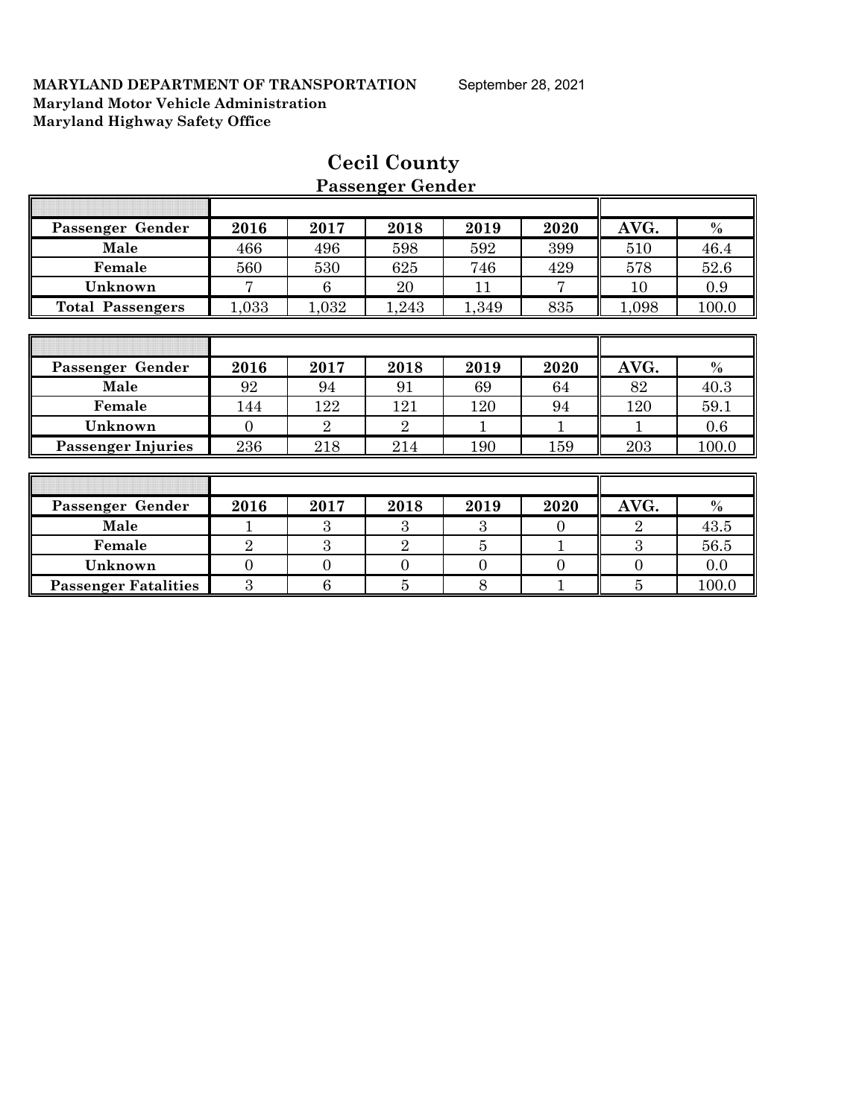| Passenger Gender            | 2016           | 2017           | 2018           | 2019           | 2020     | AVG.           | $\%$  |
|-----------------------------|----------------|----------------|----------------|----------------|----------|----------------|-------|
| Male                        | 466            | 496            | 598            | 592            | 399      | 510            | 46.4  |
| Female                      | 560            | 530            | 625            | 746            | 429      | 578            | 52.6  |
| Unknown                     | 7              | 6              | 20             | 11             | 7        | 10             | 0.9   |
| <b>Total Passengers</b>     | 1,033          | 1,032          | 1,243          | 1,349          | 835      | 1,098          | 100.0 |
|                             |                |                |                |                |          |                |       |
|                             |                |                |                |                |          |                |       |
| Passenger Gender            | 2016           | 2017           | 2018           | 2019           | 2020     | AVG.           | $\%$  |
| Male                        | 92             | 94             | 91             | 69             | 64       | 82             | 40.3  |
| Female                      | 144            | 122            | 121            | 120            | 94       | 120            | 59.1  |
| Unknown                     | $\Omega$       | $\overline{2}$ | $\overline{2}$ | 1              | 1        | 1              | 0.6   |
| <b>Passenger Injuries</b>   | 236            | 218            | 214            | 190            | 159      | 203            | 100.0 |
|                             |                |                |                |                |          |                |       |
|                             |                |                |                |                |          |                |       |
| Passenger Gender            | 2016           | 2017           | 2018           | 2019           | 2020     | AVG.           | $\%$  |
| Male                        | 1              | 3              | 3              | 3              | $\theta$ | $\overline{2}$ | 43.5  |
| Female                      | $\overline{2}$ | 3              | $\overline{2}$ | 5              | 1        | 3              | 56.5  |
| Unknown                     | $\overline{0}$ | $\overline{0}$ | $\overline{0}$ | $\overline{0}$ | $\theta$ | $\overline{0}$ | 0.0   |
| <b>Passenger Fatalities</b> | 3              | 6              | 5              | 8              |          | 5              | 100.0 |

## **Cecil County Passenger Gender**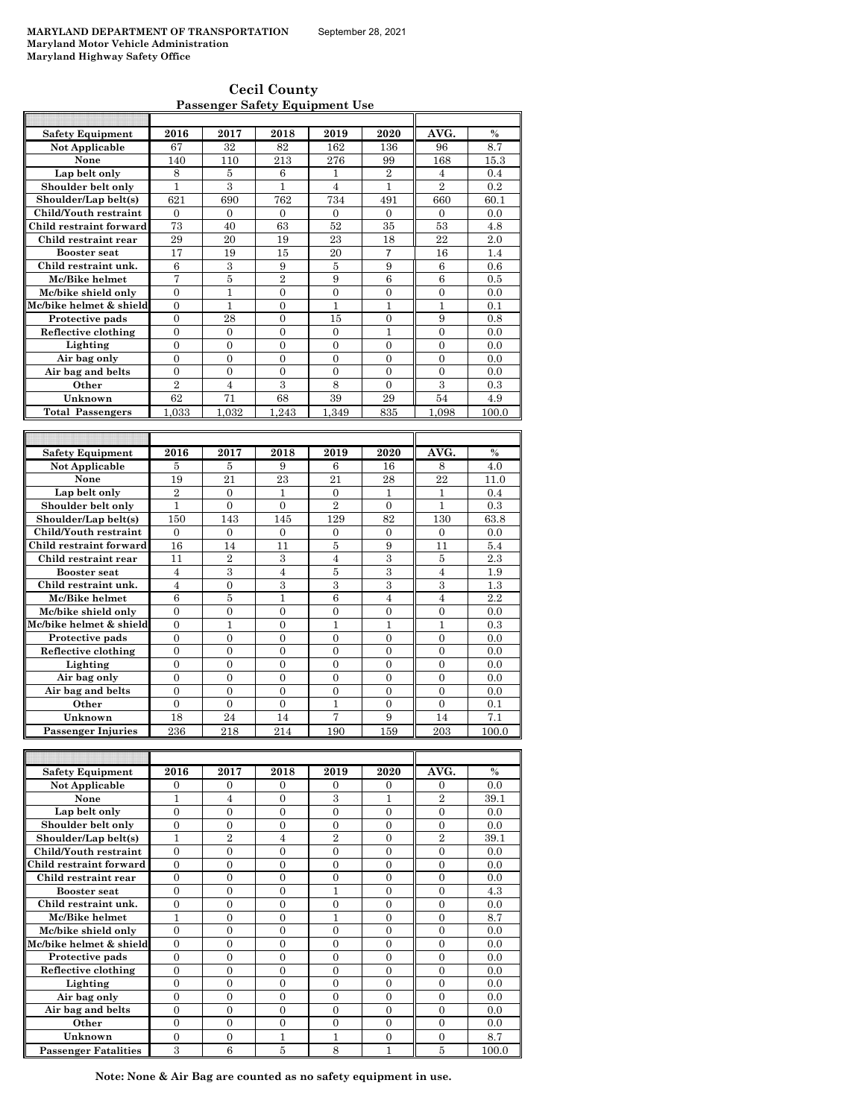**Cecil County Passenger Safety Equipment Use**

| Safety Equipment        | 2016             | 2017             | 2018             | 2019             | 2020             | AVG.             | $\frac{0}{0}$ |
|-------------------------|------------------|------------------|------------------|------------------|------------------|------------------|---------------|
| Not Applicable          | 67               | 32               | 82               | 162              | 136              | 96               | 8.7           |
| None                    | 140              | 110              | 213              | 276              | 99               | 168              | 15.3          |
| Lap belt only           | 8                | 5                | 6                | 1                | $\overline{2}$   | $\overline{4}$   | 0.4           |
| Shoulder belt only      | $\mathbf{1}$     | 3                | $\overline{1}$   | $\overline{4}$   | $\mathbf{1}$     | $\overline{2}$   | 0.2           |
| Shoulder/Lap belt(s)    | 621              | 690              | 762              | 734              | 491              | 660              | 60.1          |
| Child/Youth restraint   | $\overline{0}$   | $\mathbf{0}$     | $\overline{0}$   | $\mathbf{0}$     | $\mathbf{0}$     | $\overline{0}$   | 0.0           |
| Child restraint forward | 73               | 40               | 63               | 52               | 35               | 53               | 4.8           |
| Child restraint rear    | 29               | 20               | 19               | 23               | 18               | 22               | 2.0           |
| <b>Booster seat</b>     | 17               | 19               | 15               | 20               | $\overline{7}$   | 16               | 1.4           |
| Child restraint unk.    | $\,6$            | 3                | 9                | 5                | 9                | 6                | 0.6           |
| Mc/Bike helmet          | 7                | 5                | $\overline{2}$   | 9                | 6                | 6                | 0.5           |
| Mc/bike shield only     | $\overline{0}$   | $\mathbf{1}$     | $\overline{0}$   | $\overline{0}$   | $\overline{0}$   | $\overline{0}$   | 0.0           |
| Mc/bike helmet & shield | $\boldsymbol{0}$ | $\mathbf{1}$     | $\boldsymbol{0}$ | $\mathbf{1}$     | $\mathbf{1}$     | $\mathbf 1$      | 0.1           |
| Protective pads         | $\theta$         | 28               | $\theta$         | 15               | $\Omega$         | 9                | 0.8           |
| Reflective clothing     | $\boldsymbol{0}$ | $\Omega$         | $\boldsymbol{0}$ | $\boldsymbol{0}$ | $\mathbf 1$      | $\boldsymbol{0}$ | 0.0           |
| Lighting                | $\theta$         | $\theta$         | $\theta$         | $\theta$         | $\theta$         | $\theta$         | 0.0           |
| Air bag only            | $\Omega$         | $\Omega$         | $\Omega$         | $\overline{0}$   | $\mathbf{0}$     | $\overline{0}$   | 0.0           |
| Air bag and belts       | $\overline{0}$   | $\overline{0}$   | $\overline{0}$   | $\overline{0}$   | $\overline{0}$   | $\overline{0}$   | 0.0           |
| Other                   | $\overline{2}$   | $\overline{4}$   | 3                | 8                | $\Omega$         | 3                | 0.3           |
| Unknown                 | 62               | 71               | 68               | 39               | 29               | 54               | 4.9           |
| <b>Total Passengers</b> | 1,033            | 1,032            | 1,243            | 1,349            | 835              | 1,098            | 100.0         |
|                         |                  |                  |                  |                  |                  |                  |               |
|                         |                  |                  |                  |                  |                  |                  |               |
| <b>Safety Equipment</b> | 2016             | 2017             | 2018             | 2019             | 2020             | AVG.             | $\frac{0}{0}$ |
| Not Applicable          | $\bf 5$          | 5                | 9                | 6                | 16               | 8                | 4.0           |
| None                    | 19               | 21               | 23               | 21               | 28               | 22               | 11.0          |
| Lap belt only           | $\overline{2}$   | $\overline{0}$   | $\mathbf{1}$     | $\mathbf{0}$     | $\mathbf{1}$     | $\mathbf{1}$     | 0.4           |
| Shoulder belt only      | $\mathbf{1}$     | $\boldsymbol{0}$ | $\boldsymbol{0}$ | $\overline{2}$   | $\mathbf{0}$     | $\mathbf{1}$     | 0.3           |
| Shoulder/Lap belt(s)    | 150              | 143              | 145              | 129              | 82               | 130              | 63.8          |
| Child/Youth restraint   | $\overline{0}$   | $\boldsymbol{0}$ | $\boldsymbol{0}$ | $\boldsymbol{0}$ | $\boldsymbol{0}$ | $\boldsymbol{0}$ | 0.0           |
| Child restraint forward | 16               | 14               | 11               | 5                | 9                | 11               | 5.4           |
| Child restraint rear    | 11               | $\overline{2}$   | 3                | $\overline{4}$   | 3                | 5                | 2.3           |
| <b>Booster</b> seat     | $\overline{4}$   | 3                | $\overline{4}$   | $\bf 5$          | $\overline{3}$   | $\overline{4}$   | 1.9           |
| Child restraint unk.    | $\overline{4}$   | $\overline{0}$   | 3                | 3                | 3                | 3                | 1.3           |
| Mc/Bike helmet          | 6                | 5                | $\mathbf{1}$     | 6                | $\overline{4}$   | $\overline{4}$   | 2.2           |
| Mc/bike shield only     | $\overline{0}$   | $\boldsymbol{0}$ | $\overline{0}$   | $\mathbf{0}$     | $\mathbf{0}$     | $\boldsymbol{0}$ | 0.0           |
| Mc/bike helmet & shield | $\theta$         | 1                | $\overline{0}$   | 1                | $\mathbf{1}$     | 1                | 0.3           |
| Protective pads         | $\boldsymbol{0}$ | $\boldsymbol{0}$ | $\mathbf{0}$     | $\boldsymbol{0}$ | $\boldsymbol{0}$ | $\boldsymbol{0}$ | 0.0           |
| Reflective clothing     | $\theta$         | $\theta$         | $\theta$         | $\theta$         | $\theta$         | $\theta$         | 0.0           |
| Lighting                | $\theta$         | 0                | $\theta$         | 0                | $\boldsymbol{0}$ | $\mathbf{0}$     | 0.0           |
| Air bag only            | $\overline{0}$   | $\overline{0}$   | $\overline{0}$   | $\overline{0}$   | $\overline{0}$   | $\overline{0}$   | 0.0           |
| Air bag and belts       | $\boldsymbol{0}$ | $\theta$         | $\Omega$         | $\theta$         | $\theta$         | $\boldsymbol{0}$ | 0.0           |
| Other                   | $\theta$         | $\theta$         | $\theta$         | $\mathbf{1}$     | $\theta$         | $\theta$         | 0.1           |
| Unknown                 | 18               | 24               | 14               | 7                | 9                | 14               | 7.1           |
| Passenger Injuries      | 236              | 218              | 214              | 190              | 159              | 203              | 100.0         |
|                         |                  |                  |                  |                  |                  |                  |               |
|                         |                  |                  |                  |                  |                  |                  |               |
|                         |                  |                  |                  |                  |                  |                  |               |
| <b>Safety Equipment</b> | 2016             | 2017             | 2018             | 2019             | 2020             | AVG.             | $\%$          |
| <b>Not Applicable</b>   | 0                | 0                | 0                | $\overline{0}$   | $\mathbf{0}$     | 0                | 0.0           |
| None                    | 1                | $\overline{4}$   | $\overline{0}$   | 3                | 1                | $\overline{2}$   | 39.1          |
| Lap belt only           | $\overline{0}$   | $\overline{0}$   | $\boldsymbol{0}$ | $\boldsymbol{0}$ | $\overline{0}$   | $\overline{0}$   | 0.0           |
| Shoulder belt only      | $\overline{0}$   | $\overline{0}$   | $\overline{0}$   | $\overline{0}$   | $\boldsymbol{0}$ | $\boldsymbol{0}$ | 0.0           |

| .                           | Τ.             | ÷              | v              | ಀ              | ÷.       | ∸              | <b>UU.I</b> |
|-----------------------------|----------------|----------------|----------------|----------------|----------|----------------|-------------|
| Lap belt only               | $\Omega$       | $\mathbf{0}$   | $\Omega$       | $\Omega$       | $\Omega$ | $\Omega$       | 0.0         |
| Shoulder belt only          | $\Omega$       | $\theta$       | $\Omega$       | $\Omega$       | $\Omega$ | 0              | 0.0         |
| Shoulder/Lap belt(s)        |                | $\overline{2}$ | 4              | $\overline{2}$ | $\Omega$ | $\overline{2}$ | 39.1        |
| Child/Youth restraint       | $\overline{0}$ | $\overline{0}$ | $\overline{0}$ | $\Omega$       | $\Omega$ | $\Omega$       | 0.0         |
| Child restraint forward     | $\Omega$       | $\Omega$       | $\Omega$       | $\Omega$       | $\Omega$ | $\Omega$       | 0.0         |
| Child restraint rear        | $\Omega$       | $\Omega$       | $\Omega$       | $\Omega$       | $\Omega$ | 0              | 0.0         |
| <b>Booster seat</b>         | $\Omega$       | $\theta$       | 0              |                | $\Omega$ | 0              | 4.3         |
| Child restraint unk.        | $\Omega$       | $\theta$       | $\Omega$       | $\Omega$       | $\Omega$ | $\Omega$       | 0.0         |
| Mc/Bike helmet              |                | $\theta$       | $\Omega$       |                | $\Omega$ | $\Omega$       | 8.7         |
| Mc/bike shield only         | $\Omega$       | $\theta$       | $\Omega$       | $\Omega$       | $\Omega$ | $\Omega$       | 0.0         |
| Mc/bike helmet & shield     | $\Omega$       | $\Omega$       | $\Omega$       | $\Omega$       | $\Omega$ | $\Omega$       | 0.0         |
| Protective pads             | $\Omega$       | $\theta$       | $\Omega$       | $\Omega$       | $\Omega$ | $\Omega$       | 0.0         |
| Reflective clothing         | $\Omega$       | $\theta$       | 0              | $\Omega$       | $\Omega$ | 0              | 0.0         |
| Lighting                    | $\overline{0}$ | $\overline{0}$ | $\overline{0}$ | $\Omega$       | $\Omega$ | 0              | 0.0         |
| Air bag only                | $\overline{0}$ | $\overline{0}$ | 0              | $\Omega$       | $\Omega$ | $\Omega$       | 0.0         |
| Air bag and belts           | $\Omega$       | $\theta$       | $\theta$       | $\Omega$       | $\Omega$ | $\Omega$       | 0.0         |
| Other                       | $\Omega$       | $\Omega$       | $\Omega$       | $\Omega$       | $\Omega$ | $\Omega$       | 0.0         |
| Unknown                     | $\Omega$       | $\overline{0}$ |                |                | $\theta$ | $\Omega$       | 8.7         |
| <b>Passenger Fatalities</b> | 3              | 6              | 5              | 8              |          | 5              | 100.0       |

**Note: None & Air Bag are counted as no safety equipment in use.**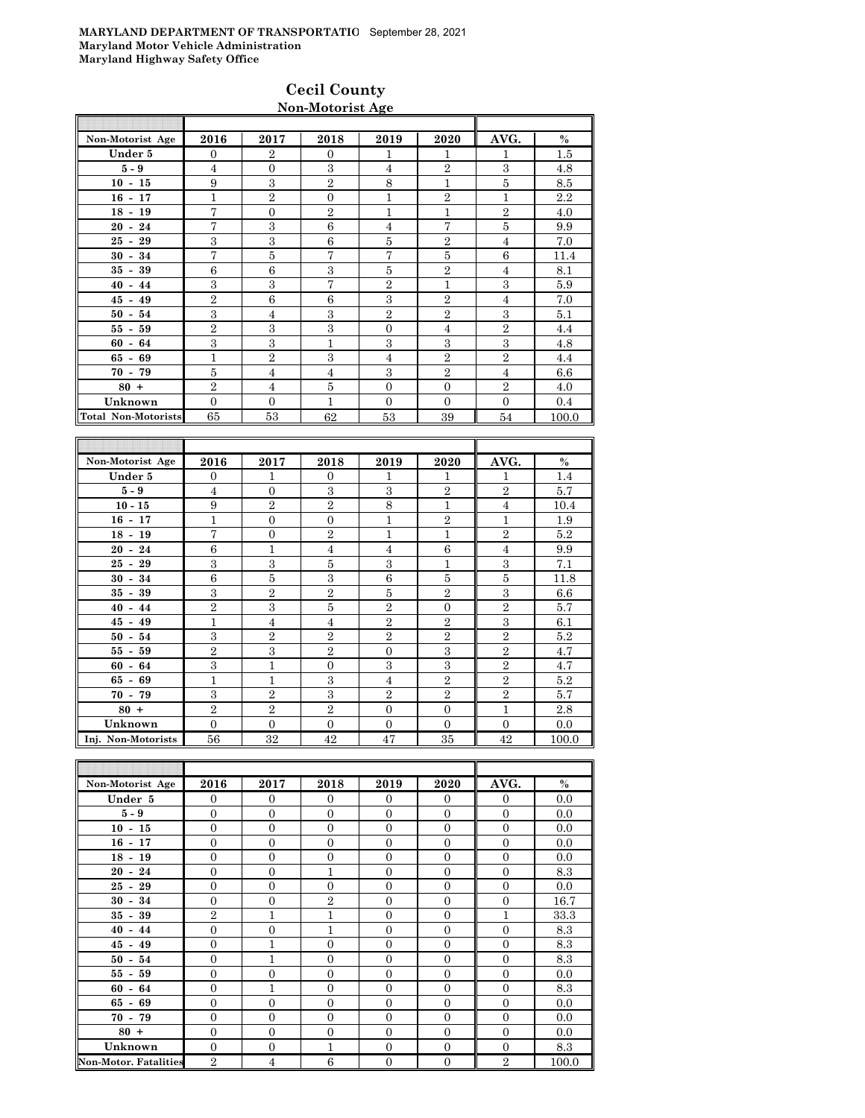#### **Cecil County Non-Motorist Age**

| AVG.<br>2016<br>2017<br>2018<br>2019<br>2020<br>Non-Motorist Age<br>Under 5<br>$\overline{2}$<br>$\overline{0}$<br>$\Omega$<br>1<br>1<br>1<br>3<br>$\overline{2}$<br>3<br>$5-9$<br>$\overline{4}$<br>$\overline{4}$<br>$\mathbf{0}$<br>$\overline{2}$<br>8<br>$10 - 15$<br>9<br>3<br>1<br>5<br>$\overline{2}$<br>$\overline{2}$<br>$\mathbf{1}$<br>$16 - 17$<br>1<br>$\mathbf{1}$<br>$\Omega$<br>7<br>$\mathbf{2}$<br>1<br>1<br>$\overline{2}$<br>$18 - 19$<br>$\overline{0}$<br>$\overline{7}$<br>7<br>3<br>6<br>5<br>$\overline{4}$<br>$20 - 24$<br>3<br>3<br>6<br>5<br>$\overline{2}$<br>$25 - 29$<br>4<br>$\overline{7}$<br>$\overline{7}$<br>5<br>7<br>5<br>6<br>$30 - 34$<br>6<br>6<br>3<br>$\overline{2}$<br>5<br>$35 - 39$<br>$\overline{4}$<br>3<br>7<br>3<br>3<br>$\overline{2}$<br>1<br>$40 - 44$<br>$\overline{2}$<br>6<br>6<br>3<br>$\overline{2}$<br>$45 - 49$<br>$\overline{4}$<br>3<br>3<br>$\overline{2}$<br>3<br>$\overline{2}$<br>$\overline{4}$<br>$50 - 54$<br>$\overline{2}$<br>3<br>3<br>$\overline{2}$<br>$55 - 59$<br>$\Omega$<br>$\overline{4}$<br>3<br>3<br>3<br>3<br>3<br>1<br>$60 - 64$<br>$\overline{2}$<br>3<br>$\overline{2}$<br>$\mathbf{1}$<br>$\overline{2}$<br>$65 - 69$<br>$\overline{4}$<br>5<br>3<br>$\overline{2}$<br>$\overline{4}$<br>$\overline{4}$<br>$\overline{4}$<br>$70 - 79$<br>$\overline{2}$<br>5<br>$80 +$<br>$\overline{0}$<br>$\overline{2}$<br>$\overline{4}$<br>$\mathbf{0}$ |         |                |              |   |              |                |              |       |
|--------------------------------------------------------------------------------------------------------------------------------------------------------------------------------------------------------------------------------------------------------------------------------------------------------------------------------------------------------------------------------------------------------------------------------------------------------------------------------------------------------------------------------------------------------------------------------------------------------------------------------------------------------------------------------------------------------------------------------------------------------------------------------------------------------------------------------------------------------------------------------------------------------------------------------------------------------------------------------------------------------------------------------------------------------------------------------------------------------------------------------------------------------------------------------------------------------------------------------------------------------------------------------------------------------------------------------------------------------------------------------------------------------------------------------------|---------|----------------|--------------|---|--------------|----------------|--------------|-------|
|                                                                                                                                                                                                                                                                                                                                                                                                                                                                                                                                                                                                                                                                                                                                                                                                                                                                                                                                                                                                                                                                                                                                                                                                                                                                                                                                                                                                                                      |         |                |              |   |              |                |              | $\%$  |
|                                                                                                                                                                                                                                                                                                                                                                                                                                                                                                                                                                                                                                                                                                                                                                                                                                                                                                                                                                                                                                                                                                                                                                                                                                                                                                                                                                                                                                      |         |                |              |   |              |                |              | 1.5   |
|                                                                                                                                                                                                                                                                                                                                                                                                                                                                                                                                                                                                                                                                                                                                                                                                                                                                                                                                                                                                                                                                                                                                                                                                                                                                                                                                                                                                                                      |         |                |              |   |              |                |              | 4.8   |
|                                                                                                                                                                                                                                                                                                                                                                                                                                                                                                                                                                                                                                                                                                                                                                                                                                                                                                                                                                                                                                                                                                                                                                                                                                                                                                                                                                                                                                      |         |                |              |   |              |                |              | 8.5   |
|                                                                                                                                                                                                                                                                                                                                                                                                                                                                                                                                                                                                                                                                                                                                                                                                                                                                                                                                                                                                                                                                                                                                                                                                                                                                                                                                                                                                                                      |         |                |              |   |              |                |              | 2.2   |
|                                                                                                                                                                                                                                                                                                                                                                                                                                                                                                                                                                                                                                                                                                                                                                                                                                                                                                                                                                                                                                                                                                                                                                                                                                                                                                                                                                                                                                      |         |                |              |   |              |                |              | 4.0   |
|                                                                                                                                                                                                                                                                                                                                                                                                                                                                                                                                                                                                                                                                                                                                                                                                                                                                                                                                                                                                                                                                                                                                                                                                                                                                                                                                                                                                                                      |         |                |              |   |              |                |              | 9.9   |
|                                                                                                                                                                                                                                                                                                                                                                                                                                                                                                                                                                                                                                                                                                                                                                                                                                                                                                                                                                                                                                                                                                                                                                                                                                                                                                                                                                                                                                      |         |                |              |   |              |                |              | 7.0   |
|                                                                                                                                                                                                                                                                                                                                                                                                                                                                                                                                                                                                                                                                                                                                                                                                                                                                                                                                                                                                                                                                                                                                                                                                                                                                                                                                                                                                                                      |         |                |              |   |              |                |              | 11.4  |
|                                                                                                                                                                                                                                                                                                                                                                                                                                                                                                                                                                                                                                                                                                                                                                                                                                                                                                                                                                                                                                                                                                                                                                                                                                                                                                                                                                                                                                      |         |                |              |   |              |                |              | 8.1   |
|                                                                                                                                                                                                                                                                                                                                                                                                                                                                                                                                                                                                                                                                                                                                                                                                                                                                                                                                                                                                                                                                                                                                                                                                                                                                                                                                                                                                                                      |         |                |              |   |              |                |              | 5.9   |
|                                                                                                                                                                                                                                                                                                                                                                                                                                                                                                                                                                                                                                                                                                                                                                                                                                                                                                                                                                                                                                                                                                                                                                                                                                                                                                                                                                                                                                      |         |                |              |   |              |                |              | 7.0   |
|                                                                                                                                                                                                                                                                                                                                                                                                                                                                                                                                                                                                                                                                                                                                                                                                                                                                                                                                                                                                                                                                                                                                                                                                                                                                                                                                                                                                                                      |         |                |              |   |              |                |              | 5.1   |
|                                                                                                                                                                                                                                                                                                                                                                                                                                                                                                                                                                                                                                                                                                                                                                                                                                                                                                                                                                                                                                                                                                                                                                                                                                                                                                                                                                                                                                      |         |                |              |   |              |                |              | 4.4   |
|                                                                                                                                                                                                                                                                                                                                                                                                                                                                                                                                                                                                                                                                                                                                                                                                                                                                                                                                                                                                                                                                                                                                                                                                                                                                                                                                                                                                                                      |         |                |              |   |              |                |              | 4.8   |
|                                                                                                                                                                                                                                                                                                                                                                                                                                                                                                                                                                                                                                                                                                                                                                                                                                                                                                                                                                                                                                                                                                                                                                                                                                                                                                                                                                                                                                      |         |                |              |   |              |                |              | 4.4   |
|                                                                                                                                                                                                                                                                                                                                                                                                                                                                                                                                                                                                                                                                                                                                                                                                                                                                                                                                                                                                                                                                                                                                                                                                                                                                                                                                                                                                                                      |         |                |              |   |              |                |              | 6.6   |
|                                                                                                                                                                                                                                                                                                                                                                                                                                                                                                                                                                                                                                                                                                                                                                                                                                                                                                                                                                                                                                                                                                                                                                                                                                                                                                                                                                                                                                      |         |                |              |   |              |                |              | 4.0   |
|                                                                                                                                                                                                                                                                                                                                                                                                                                                                                                                                                                                                                                                                                                                                                                                                                                                                                                                                                                                                                                                                                                                                                                                                                                                                                                                                                                                                                                      | Unknown | $\overline{0}$ | $\mathbf{0}$ | 1 | $\mathbf{0}$ | $\overline{0}$ | $\mathbf{0}$ | 0.4   |
| <b>Total Non-Motorists</b><br>53<br>65<br>62<br>53<br>39<br>54                                                                                                                                                                                                                                                                                                                                                                                                                                                                                                                                                                                                                                                                                                                                                                                                                                                                                                                                                                                                                                                                                                                                                                                                                                                                                                                                                                       |         |                |              |   |              |                |              | 100.0 |

| Non-Motorist Age   | 2016             | 2017           | 2018           | 2019           | 2020           | AVG.           | $\%$    |
|--------------------|------------------|----------------|----------------|----------------|----------------|----------------|---------|
| Under 5            | $\Omega$         | 1              | $\theta$       | 1              | 1              | 1              | 1.4     |
| $5-9$              | $\overline{4}$   | $\overline{0}$ | 3              | 3              | $\overline{2}$ | $\overline{2}$ | 5.7     |
| $10 - 15$          | 9                | $\overline{2}$ | $\overline{2}$ | 8              | 1              | $\overline{4}$ | 10.4    |
| $16 - 17$          | 1                | $\overline{0}$ | $\overline{0}$ | 1              | $\overline{2}$ | 1              | 1.9     |
| $18 - 19$          | 7                | $\overline{0}$ | $\overline{2}$ | 1              | 1              | $\overline{2}$ | 5.2     |
| $20 - 24$          | 6                | $\mathbf{1}$   | $\overline{4}$ | $\overline{4}$ | 6              | $\overline{4}$ | 9.9     |
| $25 - 29$          | 3                | 3              | 5              | 3              | $\mathbf{1}$   | 3              | 7.1     |
| $30 - 34$          | $\boldsymbol{6}$ | 5              | 3              | 6              | 5              | 5              | 11.8    |
| $35 - 39$          | 3                | $\overline{2}$ | $\overline{2}$ | 5              | $\overline{2}$ | 3              | 6.6     |
| $40 - 44$          | $\overline{2}$   | 3              | 5              | $\overline{2}$ | $\overline{0}$ | $\overline{2}$ | 5.7     |
| $45 - 49$          | $\mathbf{1}$     | $\overline{4}$ | $\overline{4}$ | $\overline{2}$ | $\overline{2}$ | 3              | 6.1     |
| $50 - 54$          | 3                | $\overline{2}$ | $\overline{2}$ | $\overline{2}$ | $\overline{2}$ | $\overline{2}$ | 5.2     |
| $55 - 59$          | $\overline{2}$   | 3              | $\overline{2}$ | $\theta$       | 3              | $\overline{2}$ | 4.7     |
| $60 - 64$          | 3                | $\mathbf{1}$   | $\overline{0}$ | 3              | 3              | $\overline{2}$ | 4.7     |
| $65 - 69$          | $\mathbf{1}$     | $\mathbf{1}$   | 3              | $\overline{4}$ | $\overline{2}$ | $\overline{2}$ | $5.2\,$ |
| $70 - 79$          | 3                | $\overline{2}$ | 3              | $\overline{2}$ | $\overline{2}$ | $\overline{2}$ | 5.7     |
| $80 +$             | $\overline{2}$   | $\overline{2}$ | $\overline{2}$ | $\theta$       | $\overline{0}$ | $\overline{1}$ | 2.8     |
| Unknown            | $\Omega$         | $\overline{0}$ | $\overline{0}$ | $\overline{0}$ | $\mathbf{0}$   | $\mathbf{0}$   | 0.0     |
| Inj. Non-Motorists | 56               | 32             | 42             | 47             | 35             | 42             | 100.0   |

| Non-Motorist Age             | 2016           | 2017             | 2018           | 2019           | 2020             | AVG.           | $\%$  |
|------------------------------|----------------|------------------|----------------|----------------|------------------|----------------|-------|
| Under 5                      | $\Omega$       | $\theta$         | $\Omega$       | $\Omega$       | $\overline{0}$   | $\mathbf{0}$   | 0.0   |
| $5 - 9$                      | $\mathbf{0}$   | $\overline{0}$   | $\mathbf{0}$   | $\overline{0}$ | $\mathbf{0}$     | $\mathbf{0}$   | 0.0   |
| $10 - 15$                    | $\overline{0}$ | $\overline{0}$   | $\overline{0}$ | $\overline{0}$ | $\mathbf{0}$     | $\overline{0}$ | 0.0   |
| $16 - 17$                    | $\overline{0}$ | $\overline{0}$   | $\overline{0}$ | $\overline{0}$ | $\mathbf{0}$     | $\mathbf{0}$   | 0.0   |
| $18 - 19$                    | $\overline{0}$ | $\overline{0}$   | $\overline{0}$ | $\Omega$       | $\theta$         | $\overline{0}$ | 0.0   |
| $20 - 24$                    | $\Omega$       | $\overline{0}$   | 1              | $\Omega$       | $\overline{0}$   | $\Omega$       | 8.3   |
| $25 - 29$                    | $\overline{0}$ | $\overline{0}$   | $\overline{0}$ | $\overline{0}$ | $\mathbf{0}$     | $\overline{0}$ | 0.0   |
| $30 - 34$                    | $\overline{0}$ | $\overline{0}$   | $\overline{2}$ | $\overline{0}$ | $\mathbf{0}$     | $\overline{0}$ | 16.7  |
| $35 - 39$                    | $\overline{2}$ | $\overline{1}$   | 1              | $\overline{0}$ | $\mathbf{0}$     | $\mathbf{1}$   | 33.3  |
| $40 - 44$                    | $\overline{0}$ | $\overline{0}$   | $\mathbf{1}$   | $\overline{0}$ | $\theta$         | $\overline{0}$ | 8.3   |
| $45 - 49$                    | $\Omega$       | 1                | $\Omega$       | $\Omega$       | $\theta$         | $\Omega$       | 8.3   |
| $50 - 54$                    | $\overline{0}$ | $\mathbf{1}$     | $\overline{0}$ | $\overline{0}$ | $\mathbf{0}$     | $\overline{0}$ | 8.3   |
| $55 - 59$                    | $\overline{0}$ | $\overline{0}$   | $\overline{0}$ | $\overline{0}$ | $\theta$         | $\overline{0}$ | 0.0   |
| $60 - 64$                    | $\mathbf{0}$   | $\mathbf{1}$     | $\overline{0}$ | $\overline{0}$ | $\mathbf{0}$     | $\mathbf{0}$   | 8.3   |
| $65 - 69$                    | $\overline{0}$ | $\boldsymbol{0}$ | $\overline{0}$ | $\overline{0}$ | $\overline{0}$   | $\overline{0}$ | 0.0   |
| $70 - 79$                    | $\Omega$       | $\overline{0}$   | $\Omega$       | $\Omega$       | $\overline{0}$   | $\Omega$       | 0.0   |
| $80 +$                       | $\overline{0}$ | $\overline{0}$   | $\overline{0}$ | $\Omega$       | $\mathbf{0}$     | $\Omega$       | 0.0   |
| Unknown                      | $\overline{0}$ | $\overline{0}$   | 1              | $\overline{0}$ | $\mathbf{0}$     | $\overline{0}$ | 8.3   |
| <b>Non-Motor. Fatalities</b> | $\overline{2}$ | $\overline{4}$   | 6              | $\overline{0}$ | $\boldsymbol{0}$ | $\overline{2}$ | 100.0 |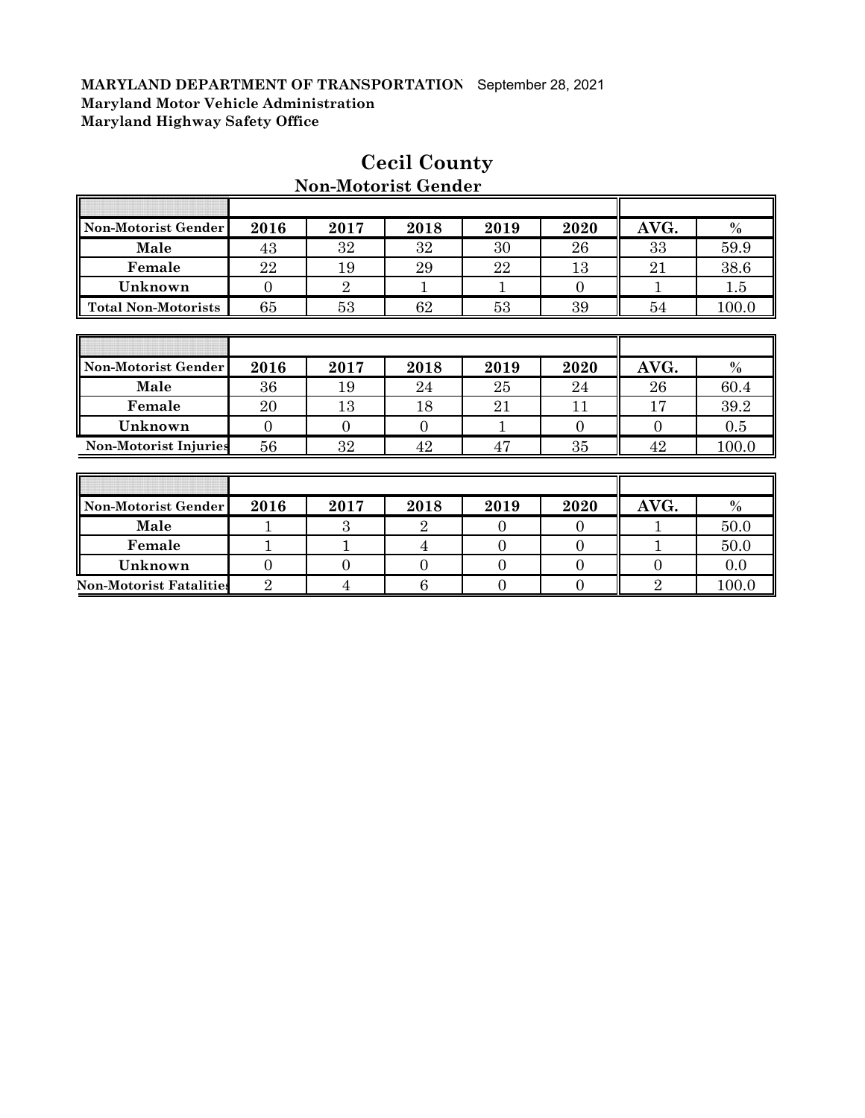| Non-Motorist Gender            | 2016           | 2017           | 2018           | 2019           | 2020           | AVG.             | $\%$          |
|--------------------------------|----------------|----------------|----------------|----------------|----------------|------------------|---------------|
| Male                           | 43             | 32             | 32             | 30             | 26             | 33               | 59.9          |
| Female                         | 22             | 19             | 29             | 22             | 13             | 21               | 38.6          |
| Unknown                        | $\theta$       | $\overline{2}$ | 1              |                | $\overline{0}$ | 1                | 1.5           |
| <b>Total Non-Motorists</b>     | 65             | 53             | 62             | 53             | 39             | 54               | 100.0         |
|                                |                |                |                |                |                |                  |               |
|                                |                |                |                |                |                |                  |               |
| Non-Motorist Gender            | 2016           | 2017           | 2018           | 2019           | 2020           | AVG.             | $\frac{0}{0}$ |
| Male                           | 36             | 19             | 24             | 25             | 24             | 26               | 60.4          |
| Female                         | 20             | 13             | 18             | 21             | 11             | 17               | 39.2          |
| Unknown                        | $\overline{0}$ | $\Omega$       | $\Omega$       |                | $\Omega$       | $\Omega$         | 0.5           |
| <b>Non-Motorist Injuries</b>   | 56             | 32             | 42             | 47             | 35             | 42               | 100.0         |
|                                |                |                |                |                |                |                  |               |
|                                |                |                |                |                |                |                  |               |
| Non-Motorist Gender            | 2016           | 2017           | 2018           | 2019           | 2020           | AVG.             | $\%$          |
| Male                           |                | 3              | $\overline{2}$ | $\Omega$       | $\Omega$       |                  | 50.0          |
| Female                         |                | $\mathbf{1}$   | 4              | $\theta$       | $\overline{0}$ |                  | 50.0          |
| Unknown                        | $\overline{0}$ | $\overline{0}$ | 0              | $\overline{0}$ | $\overline{0}$ | $\boldsymbol{0}$ | 0.0           |
| <b>Non-Motorist Fatalities</b> | $\overline{2}$ | $\overline{4}$ | 6              | $\overline{0}$ | $\overline{0}$ | $\overline{2}$   | 100.0         |

## **Cecil County Non-Motorist Gender**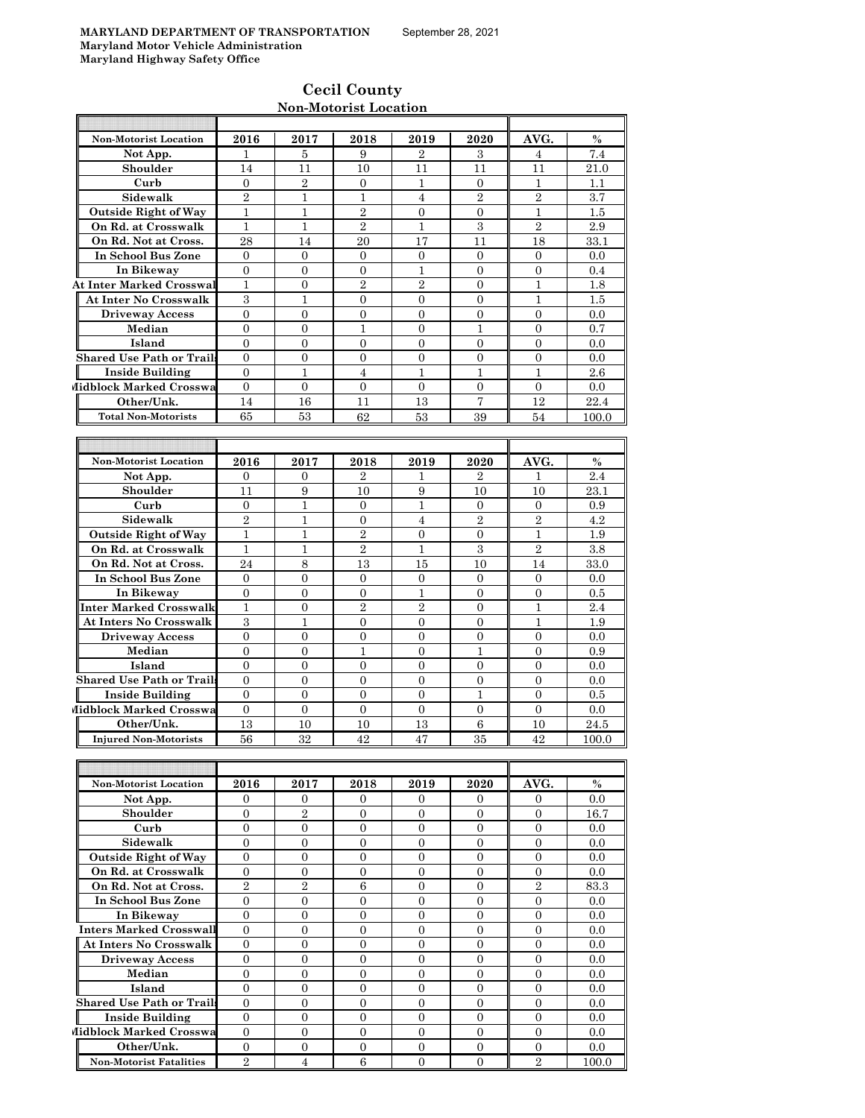| <b>Cecil County</b>   |
|-----------------------|
| Non-Motorist Location |

| Non-Motorist Location            | 2016             | 2017             | 2018             | 2019             | 2020             | AVG.             | $\%$  |
|----------------------------------|------------------|------------------|------------------|------------------|------------------|------------------|-------|
| Not App.                         | 1                | 5                | 9                | $\overline{2}$   | 3                | 4                | 7.4   |
| Shoulder                         | 14               | 11               | 10               | 11               | 11               | 11               | 21.0  |
| Curb                             | $\boldsymbol{0}$ | $\overline{2}$   | 0                | 1                | 0                | 1                | 1.1   |
| Sidewalk                         | $\overline{2}$   | $\mathbf{1}$     | $\mathbf{1}$     | $\overline{4}$   | $\overline{2}$   | $\overline{2}$   | 3.7   |
| <b>Outside Right of Way</b>      | $\mathbf{1}$     | $\mathbf{1}$     | $\overline{2}$   | $\overline{0}$   | $\mathbf{0}$     | $\mathbf{1}$     | 1.5   |
| On Rd. at Crosswalk              | 1                | 1                | $\overline{2}$   | 1                | 3                | $\mathbf{2}$     | 2.9   |
| On Rd. Not at Cross.             | 28               | 14               | 20               | 17               | 11               | 18               | 33.1  |
| In School Bus Zone               | $\overline{0}$   | $\overline{0}$   | $\overline{0}$   | $\overline{0}$   | $\overline{0}$   | $\Omega$         | 0.0   |
| In Bikeway                       | $\mathbf{0}$     | $\mathbf{0}$     | $\overline{0}$   | $\mathbf{1}$     | $\mathbf{0}$     | $\overline{0}$   | 0.4   |
| <b>At Inter Marked Crosswal</b>  | $\mathbf{1}$     | $\overline{0}$   | $\overline{2}$   | $\overline{2}$   | $\mathbf{0}$     | $\mathbf{1}$     | 1.8   |
| <b>At Inter No Crosswalk</b>     | 3                | $\mathbf{1}$     | $\overline{0}$   | $\overline{0}$   | $\overline{0}$   | $\mathbf{1}$     | 1.5   |
| <b>Driveway Access</b>           | $\boldsymbol{0}$ | $\overline{0}$   | $\overline{0}$   | $\overline{0}$   | $\overline{0}$   | $\overline{0}$   | 0.0   |
| Median                           | $\overline{0}$   | $\overline{0}$   | $\mathbf{1}$     | $\overline{0}$   | $\mathbf{1}$     | $\overline{0}$   | 0.7   |
| Island                           | $\overline{0}$   | $\overline{0}$   | $\overline{0}$   | $\overline{0}$   | $\overline{0}$   | $\overline{0}$   | 0.0   |
| <b>Shared Use Path or Trails</b> | $\theta$         | $\overline{0}$   | $\Omega$         | $\overline{0}$   | $\theta$         | $\Omega$         | 0.0   |
| <b>Inside Building</b>           | $\mathbf{0}$     | $\mathbf{1}$     | $\overline{4}$   | 1                | $\mathbf{1}$     | $\mathbf{1}$     | 2.6   |
| Midblock Marked Crosswa          | $\mathbf{0}$     | $\mathbf{0}$     | $\mathbf{0}$     | $\mathbf{0}$     | $\mathbf{0}$     | $\mathbf{0}$     | 0.0   |
| Other/Unk.                       | 14               | 16               | 11               | 13               | $\overline{7}$   | 12               | 22.4  |
| <b>Total Non-Motorists</b>       | 65               | 53               | 62               | 53               | 39               | 54               | 100.0 |
|                                  |                  |                  |                  |                  |                  |                  |       |
|                                  |                  |                  |                  |                  |                  |                  |       |
| <b>Non-Motorist Location</b>     | 2016             | 2017             | 2018             | 2019             | 2020             | AVG.             | $\%$  |
| Not App.                         | $\Omega$         | $\overline{0}$   | $\mathbf{2}$     | 1                | $\overline{2}$   | $\mathbf{1}$     | 2.4   |
| Shoulder                         | 11               | 9                | 10               | 9                | 10               | 10               | 23.1  |
| Curb                             | $\mathbf{0}$     | $\mathbf{1}$     | $\mathbf{0}$     | 1                | $\overline{0}$   | $\mathbf{0}$     | 0.9   |
| Sidewalk                         | $\overline{2}$   | $\mathbf{1}$     | $\mathbf{0}$     | $\overline{4}$   | $\overline{2}$   | $\overline{2}$   | 4.2   |
| <b>Outside Right of Way</b>      | $\mathbf{1}$     | $\mathbf{1}$     | $\sqrt{2}$       | $\overline{0}$   | $\mathbf{0}$     | $\mathbf{1}$     | 1.9   |
| On Rd. at Crosswalk              | $\mathbf{1}$     | $\mathbf{1}$     | $\overline{2}$   | $\mathbf{1}$     | 3                | $\overline{2}$   | 3.8   |
| On Rd. Not at Cross.             | 24               | 8                | 13               | 15               | 10               | 14               | 33.0  |
| In School Bus Zone               | $\Omega$         | $\Omega$         | $\Omega$         | $\overline{0}$   | $\Omega$         | $\Omega$         | 0.0   |
| In Bikeway                       | $\mathbf{0}$     | $\overline{0}$   | $\overline{0}$   | 1                | $\Omega$         | $\Omega$         | 0.5   |
| <b>Inter Marked Crosswalk</b>    | $\mathbf{1}$     | $\overline{0}$   | $\overline{2}$   | $\overline{2}$   | $\mathbf{0}$     | $\mathbf{1}$     | 2.4   |
| <b>At Inters No Crosswalk</b>    | 3                | 1                | $\overline{0}$   | $\overline{0}$   | $\overline{0}$   | $\mathbf{1}$     | 1.9   |
| <b>Driveway Access</b>           | $\overline{0}$   | $\mathbf{0}$     | $\overline{0}$   | $\overline{0}$   | $\overline{0}$   | $\overline{0}$   | 0.0   |
| Median                           | $\mathbf{0}$     | $\mathbf{0}$     | $\mathbf{1}$     | $\overline{0}$   | $\mathbf{1}$     | $\overline{0}$   | 0.9   |
| Island                           | $\overline{0}$   | $\mathbf{0}$     | 0                | $\boldsymbol{0}$ | 0                | $\mathbf{0}$     | 0.0   |
| <b>Shared Use Path or Trails</b> | $\overline{0}$   | $\overline{0}$   | $\overline{0}$   | $\overline{0}$   | $\overline{0}$   | $\overline{0}$   | 0.0   |
| Inside Building                  | $\mathbf{0}$     | $\mathbf{0}$     | $\overline{0}$   | $\overline{0}$   | $\mathbf{1}$     | $\overline{0}$   | 0.5   |
| Midblock Marked Crosswa          | $\overline{0}$   | $\mathbf{0}$     | $\overline{0}$   | $\overline{0}$   | $\overline{0}$   | $\overline{0}$   | 0.0   |
| Other/Unk.                       | 13               | 10               | 10               | 13               | $\boldsymbol{6}$ | 10               | 24.5  |
| <b>Injured Non-Motorists</b>     | 56               | 32               | 42               | 47               | 35               | 42               | 100.0 |
|                                  |                  |                  |                  |                  |                  |                  |       |
|                                  |                  |                  |                  |                  |                  |                  |       |
| Non-Motorist Location            | 2016             | 2017             | 2018             | 2019             | 2020             | AVG.             | $\%$  |
| Not App.                         | $\overline{0}$   | $\overline{0}$   | $\overline{0}$   | $\overline{0}$   | $\overline{0}$   | $\overline{0}$   | 0.0   |
| Shoulder                         | $\overline{0}$   | $\overline{2}$   | $\overline{0}$   | $\mathbf{0}$     | $\mathbf{0}$     | $\mathbf{0}$     | 16.7  |
| Curb                             | $\overline{0}$   | $\overline{0}$   | $\overline{0}$   | $\overline{0}$   | $\overline{0}$   | $\overline{0}$   | 0.0   |
| Sidewalk                         | $\mathbf{0}$     | $\mathbf{0}$     | $\overline{0}$   | $\boldsymbol{0}$ | $\overline{0}$   | $\overline{0}$   | 0.0   |
| <b>Outside Right of Way</b>      | $\overline{0}$   | $\overline{0}$   | $\overline{0}$   | $\overline{0}$   | $\overline{0}$   | $\overline{0}$   | 0.0   |
| On Rd. at Crosswalk              | $\boldsymbol{0}$ | $\mathbf{0}$     | $\boldsymbol{0}$ | $\boldsymbol{0}$ | $\mathbf{0}$     | $\overline{0}$   | 0.0   |
| On Rd. Not at Cross.             | $\,2\,$          | $\,2$            | $6\phantom{.0}$  | 0                | $\mathbf{0}$     | $\,2$            | 83.3  |
| In School Bus Zone               | $\boldsymbol{0}$ | $\overline{0}$   | $\overline{0}$   | $\overline{0}$   | $\overline{0}$   | $\overline{0}$   | 0.0   |
| In Bikeway                       | $\overline{0}$   | $\mathbf{0}$     | $\overline{0}$   | $\boldsymbol{0}$ | $\mathbf{0}$     | $\mathbf{0}$     | 0.0   |
| <b>Inters Marked Crosswall</b>   | $\mathbf{0}$     | $\mathbf{0}$     | 0                | 0                | $\overline{0}$   | $\boldsymbol{0}$ | 0.0   |
| <b>At Inters No Crosswalk</b>    | $\mathbf{0}$     | $\mathbf{0}$     | $\overline{0}$   | 0                | $\overline{0}$   | $\overline{0}$   | 0.0   |
| <b>Driveway Access</b>           | $\boldsymbol{0}$ | $\boldsymbol{0}$ | $\overline{0}$   | $\overline{0}$   | $\overline{0}$   | $\overline{0}$   | 0.0   |
| Median                           | $\overline{0}$   | $\overline{0}$   | $\overline{0}$   | $\overline{0}$   | $\overline{0}$   | $\overline{0}$   | 0.0   |

**Island** 0 0 0 0 0 0 0.0

**Other/Unk.** 0 0 0 0 0 0 0.0 **Non-Motorist Fatalities** 2 4 6 0 0 2 100.0

**Shared Use Path or Trails** 0 0 0 0 0 0 0.0 **Inside Building** 0 0 0 0 0 0 0.0

**Midblock Marked Crosswa** 0 0 0 0 0 0 0 0